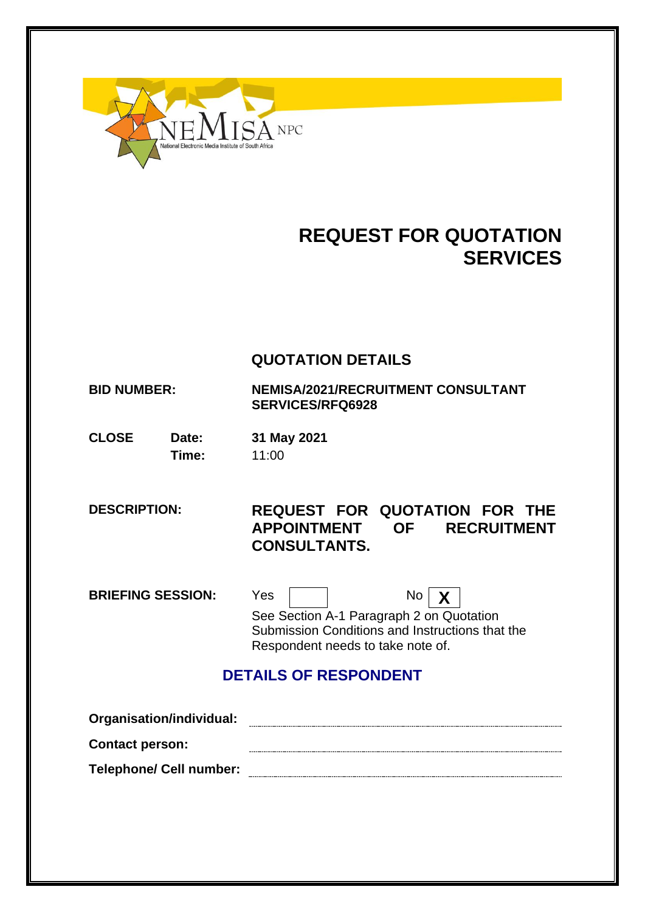

# **REQUEST FOR QUOTATION SERVICES**

## **QUOTATION DETAILS**

**BID NUMBER: NEMISA/2021/RECRUITMENT CONSULTANT SERVICES/RFQ6928**

**CLOSE Date: 31 May 2021 Time:** 11:00

**DESCRIPTION: REQUEST FOR QUOTATION FOR THE APPOINTMENT OF RECRUITMENT CONSULTANTS.**

**BRIEFING SESSION:** Yes No X

See Section A-1 Paragraph 2 on Quotation Submission Conditions and Instructions that the Respondent needs to take note of.

## **DETAILS OF RESPONDENT**

| Organisation/individual:       |  |
|--------------------------------|--|
| <b>Contact person:</b>         |  |
| <b>Telephone/ Cell number:</b> |  |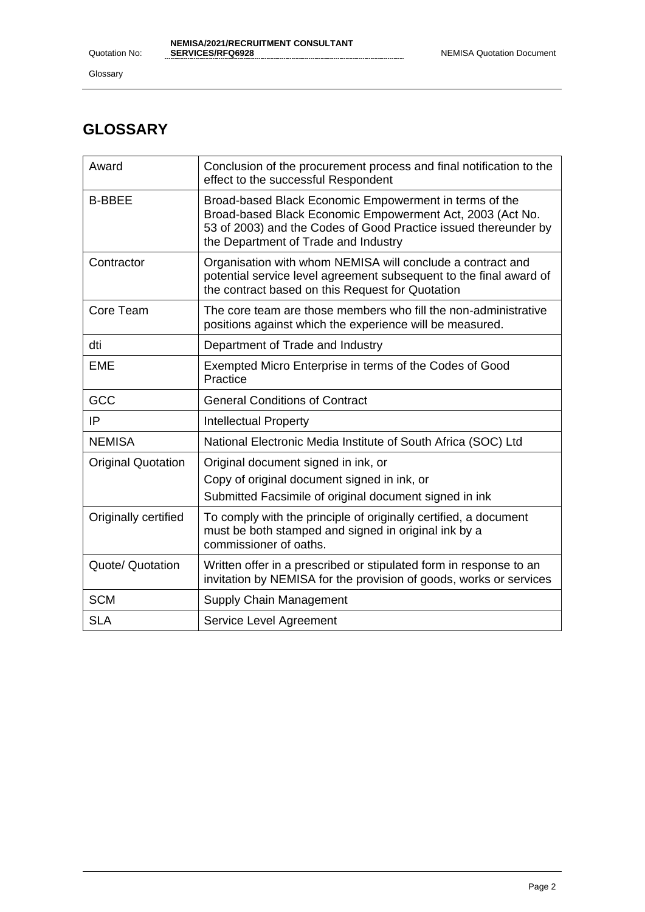Glossary

# **GLOSSARY**

| Award                     | Conclusion of the procurement process and final notification to the<br>effect to the successful Respondent                                                                                                                     |
|---------------------------|--------------------------------------------------------------------------------------------------------------------------------------------------------------------------------------------------------------------------------|
| <b>B-BBEE</b>             | Broad-based Black Economic Empowerment in terms of the<br>Broad-based Black Economic Empowerment Act, 2003 (Act No.<br>53 of 2003) and the Codes of Good Practice issued thereunder by<br>the Department of Trade and Industry |
| Contractor                | Organisation with whom NEMISA will conclude a contract and<br>potential service level agreement subsequent to the final award of<br>the contract based on this Request for Quotation                                           |
| Core Team                 | The core team are those members who fill the non-administrative<br>positions against which the experience will be measured.                                                                                                    |
| dti                       | Department of Trade and Industry                                                                                                                                                                                               |
| <b>EME</b>                | Exempted Micro Enterprise in terms of the Codes of Good<br>Practice                                                                                                                                                            |
| GCC                       | <b>General Conditions of Contract</b>                                                                                                                                                                                          |
| IP                        | <b>Intellectual Property</b>                                                                                                                                                                                                   |
| <b>NEMISA</b>             | National Electronic Media Institute of South Africa (SOC) Ltd                                                                                                                                                                  |
| <b>Original Quotation</b> | Original document signed in ink, or<br>Copy of original document signed in ink, or                                                                                                                                             |
|                           | Submitted Facsimile of original document signed in ink                                                                                                                                                                         |
| Originally certified      | To comply with the principle of originally certified, a document<br>must be both stamped and signed in original ink by a<br>commissioner of oaths.                                                                             |
| Quote/ Quotation          | Written offer in a prescribed or stipulated form in response to an<br>invitation by NEMISA for the provision of goods, works or services                                                                                       |
| <b>SCM</b>                | Supply Chain Management                                                                                                                                                                                                        |
| <b>SLA</b>                | Service Level Agreement                                                                                                                                                                                                        |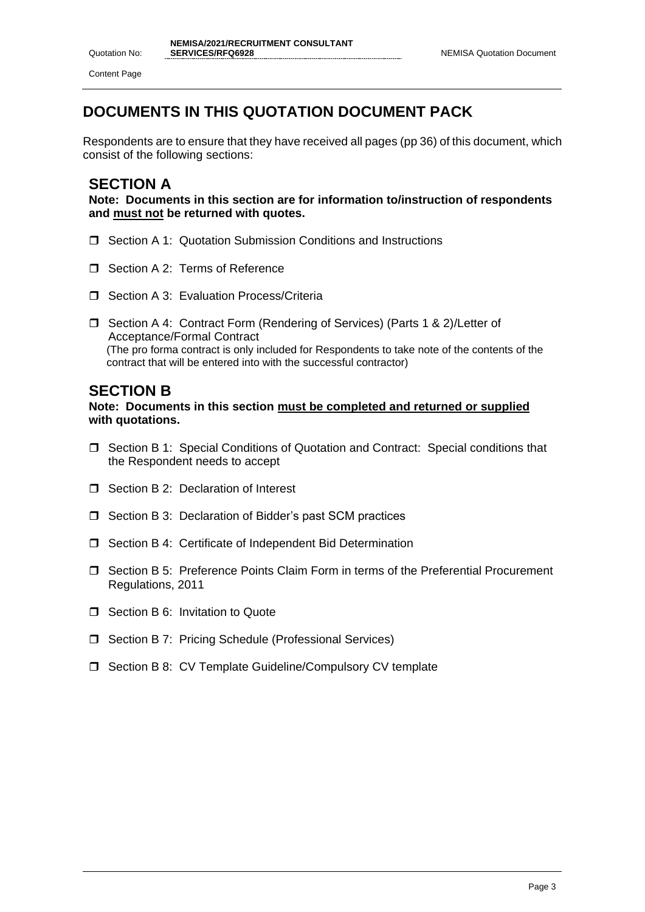Content Page

# **DOCUMENTS IN THIS QUOTATION DOCUMENT PACK**

Respondents are to ensure that they have received all pages (pp 36) of this document, which consist of the following sections:

## **SECTION A**

**Note: Documents in this section are for information to/instruction of respondents and must not be returned with quotes.**

- □ Section A 1: Quotation Submission Conditions and Instructions
- Section A 2: Terms of Reference
- Section A 3: Evaluation Process/Criteria
- □ Section A 4: Contract Form (Rendering of Services) (Parts 1 & 2)/Letter of Acceptance/Formal Contract (The pro forma contract is only included for Respondents to take note of the contents of the contract that will be entered into with the successful contractor)

## **SECTION B**

**Note: Documents in this section must be completed and returned or supplied with quotations.**

- Section B 1: Special Conditions of Quotation and Contract: Special conditions that the Respondent needs to accept
- □ Section B 2: Declaration of Interest
- $\Box$  Section B 3: Declaration of Bidder's past SCM practices
- □ Section B 4: Certificate of Independent Bid Determination
- Section B 5: Preference Points Claim Form in terms of the Preferential Procurement Regulations, 2011
- **T** Section B 6: Invitation to Quote
- □ Section B 7: Pricing Schedule (Professional Services)
- □ Section B 8: CV Template Guideline/Compulsory CV template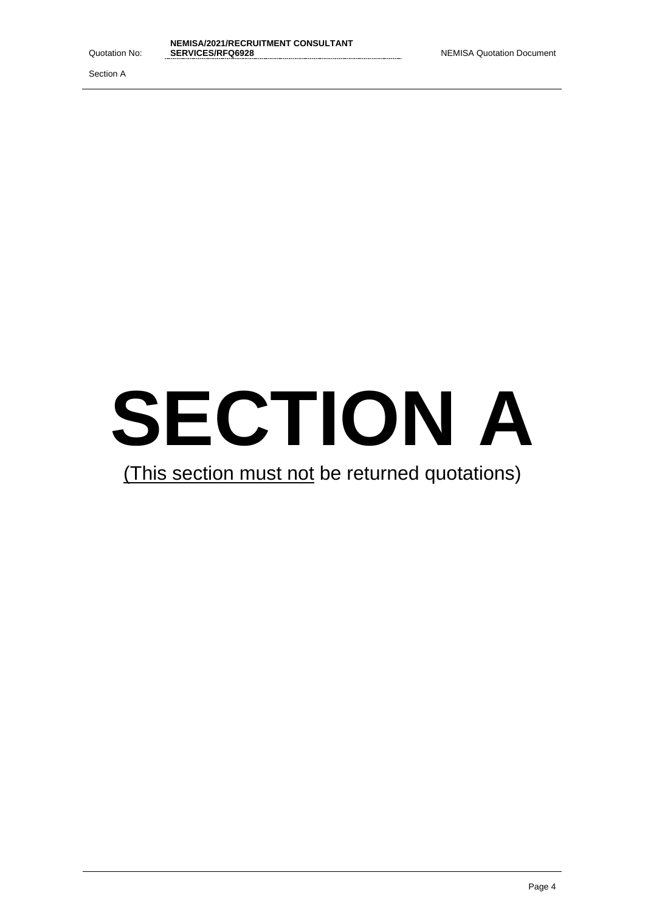Section A



# (This section must not be returned quotations)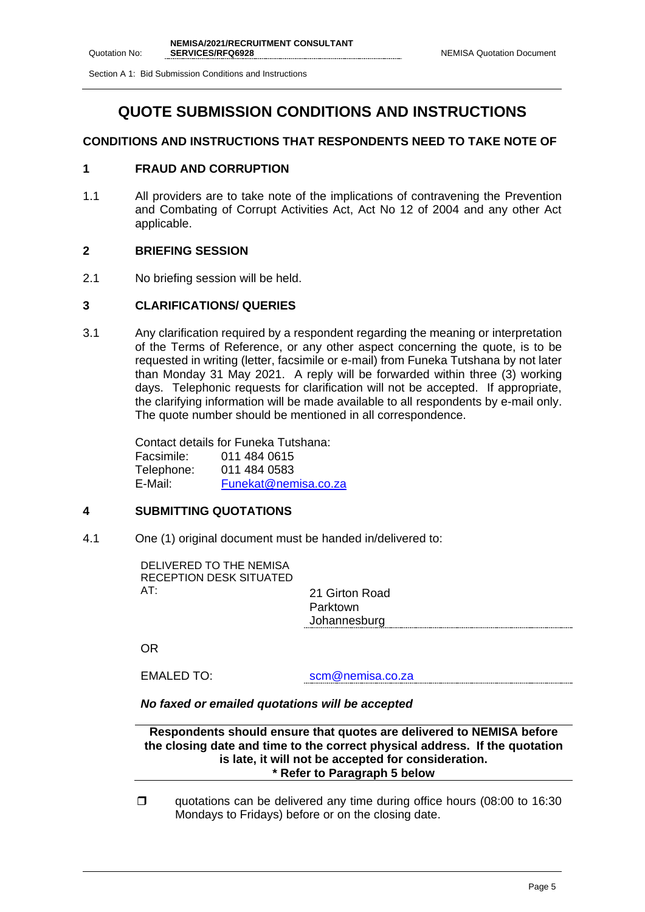Section A 1: Bid Submission Conditions and Instructions

## **QUOTE SUBMISSION CONDITIONS AND INSTRUCTIONS**

### **CONDITIONS AND INSTRUCTIONS THAT RESPONDENTS NEED TO TAKE NOTE OF**

### **1 FRAUD AND CORRUPTION**

1.1 All providers are to take note of the implications of contravening the Prevention and Combating of Corrupt Activities Act, Act No 12 of 2004 and any other Act applicable.

### **2 BRIEFING SESSION**

2.1 No briefing session will be held.

### **3 CLARIFICATIONS/ QUERIES**

3.1 Any clarification required by a respondent regarding the meaning or interpretation of the Terms of Reference, or any other aspect concerning the quote, is to be requested in writing (letter, facsimile or e-mail) from Funeka Tutshana by not later than Monday 31 May 2021. A reply will be forwarded within three (3) working days. Telephonic requests for clarification will not be accepted. If appropriate, the clarifying information will be made available to all respondents by e-mail only. The quote number should be mentioned in all correspondence.

> Contact details for Funeka Tutshana: Facsimile: 011 484 0615 Telephone: 011 484 0583 E-Mail: [Funekat@nemisa.co.za](mailto:Funekat@nemisa.co.za)

### **4 SUBMITTING QUOTATIONS**

4.1 One (1) original document must be handed in/delivered to:

DELIVERED TO THE NEMISA RECEPTION DESK SITUATED AT: 21 Girton Road

Parktown Johannesburg

OR

EMALED TO: scm@nemisa.co.za

### *No faxed or emailed quotations will be accepted*

**Respondents should ensure that quotes are delivered to NEMISA before the closing date and time to the correct physical address. If the quotation is late, it will not be accepted for consideration. \* Refer to Paragraph 5 below**

quotations can be delivered any time during office hours  $(08:00$  to 16:30 Mondays to Fridays) before or on the closing date.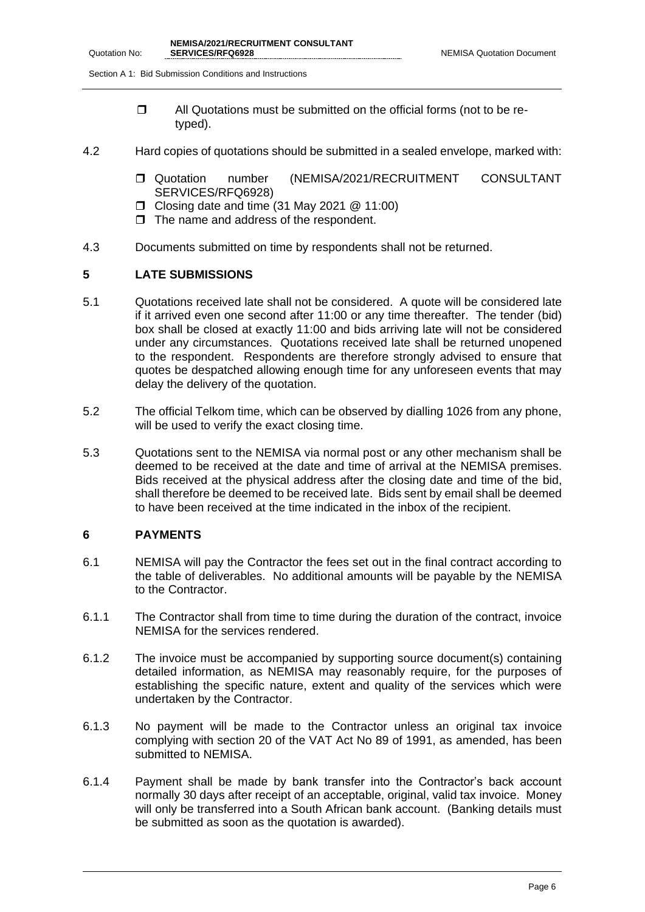Section A 1: Bid Submission Conditions and Instructions

- $\Box$  All Quotations must be submitted on the official forms (not to be retyped).
- 4.2 Hard copies of quotations should be submitted in a sealed envelope, marked with:
	- Quotation number (NEMISA/2021/RECRUITMENT CONSULTANT SERVICES/RFQ6928)
	- $\Box$  Closing date and time (31 May 2021  $@$  11:00)
	- $\Box$  The name and address of the respondent.
- 4.3 Documents submitted on time by respondents shall not be returned.

### **5 LATE SUBMISSIONS**

- 5.1 Quotations received late shall not be considered. A quote will be considered late if it arrived even one second after 11:00 or any time thereafter. The tender (bid) box shall be closed at exactly 11:00 and bids arriving late will not be considered under any circumstances. Quotations received late shall be returned unopened to the respondent. Respondents are therefore strongly advised to ensure that quotes be despatched allowing enough time for any unforeseen events that may delay the delivery of the quotation.
- 5.2 The official Telkom time, which can be observed by dialling 1026 from any phone, will be used to verify the exact closing time.
- 5.3 Quotations sent to the NEMISA via normal post or any other mechanism shall be deemed to be received at the date and time of arrival at the NEMISA premises. Bids received at the physical address after the closing date and time of the bid, shall therefore be deemed to be received late. Bids sent by email shall be deemed to have been received at the time indicated in the inbox of the recipient.

### **6 PAYMENTS**

- 6.1 NEMISA will pay the Contractor the fees set out in the final contract according to the table of deliverables. No additional amounts will be payable by the NEMISA to the Contractor.
- 6.1.1 The Contractor shall from time to time during the duration of the contract, invoice NEMISA for the services rendered.
- 6.1.2 The invoice must be accompanied by supporting source document(s) containing detailed information, as NEMISA may reasonably require, for the purposes of establishing the specific nature, extent and quality of the services which were undertaken by the Contractor.
- 6.1.3 No payment will be made to the Contractor unless an original tax invoice complying with section 20 of the VAT Act No 89 of 1991, as amended, has been submitted to NEMISA.
- 6.1.4 Payment shall be made by bank transfer into the Contractor's back account normally 30 days after receipt of an acceptable, original, valid tax invoice. Money will only be transferred into a South African bank account. (Banking details must be submitted as soon as the quotation is awarded).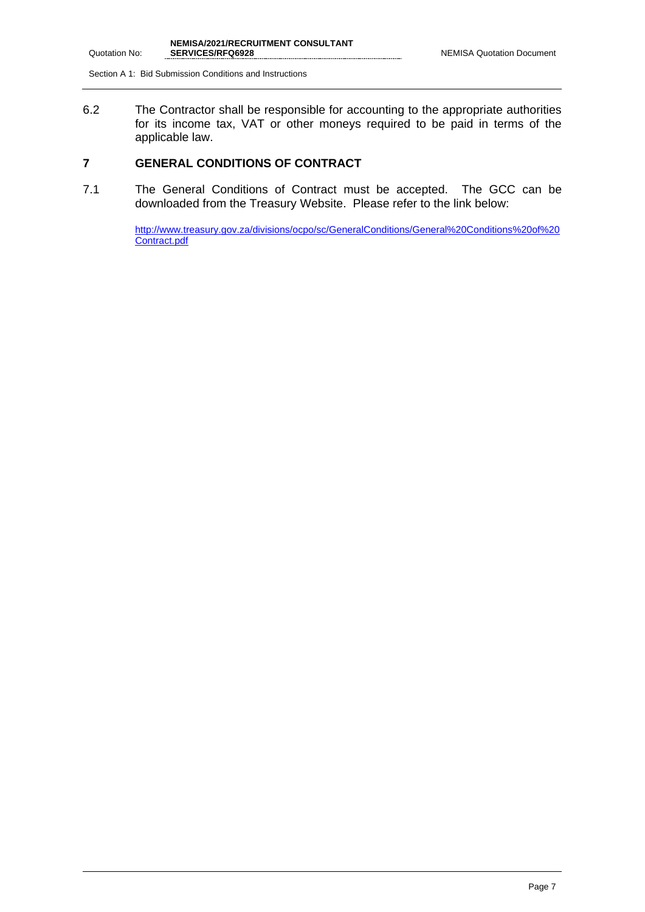Section A 1: Bid Submission Conditions and Instructions

6.2 The Contractor shall be responsible for accounting to the appropriate authorities for its income tax, VAT or other moneys required to be paid in terms of the applicable law.

### **7 GENERAL CONDITIONS OF CONTRACT**

7.1 The General Conditions of Contract must be accepted. The GCC can be downloaded from the Treasury Website. Please refer to the link below:

> [http://www.treasury.gov.za/divisions/ocpo/sc/GeneralConditions/General%20Conditions%20of%20](http://www.treasury.gov.za/divisions/ocpo/sc/GeneralConditions/General%20Conditions%20of%20Contract.pdf) [Contract.pdf](http://www.treasury.gov.za/divisions/ocpo/sc/GeneralConditions/General%20Conditions%20of%20Contract.pdf)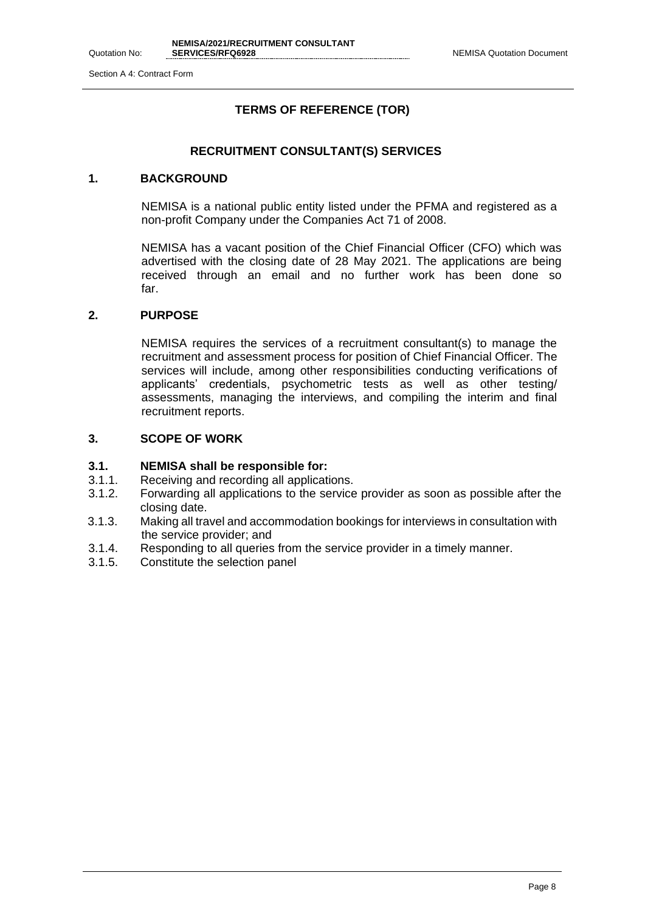### **TERMS OF REFERENCE (TOR)**

### **RECRUITMENT CONSULTANT(S) SERVICES**

### **1. BACKGROUND**

NEMISA is a national public entity listed under the PFMA and registered as a non-profit Company under the Companies Act 71 of 2008.

NEMISA has a vacant position of the Chief Financial Officer (CFO) which was advertised with the closing date of 28 May 2021. The applications are being received through an email and no further work has been done so far.

### **2. PURPOSE**

NEMISA requires the services of a recruitment consultant(s) to manage the recruitment and assessment process for position of Chief Financial Officer. The services will include, among other responsibilities conducting verifications of applicants' credentials, psychometric tests as well as other testing/ assessments, managing the interviews, and compiling the interim and final recruitment reports.

### **3. SCOPE OF WORK**

### **3.1. NEMISA shall be responsible for:**

- 3.1.1. Receiving and recording all applications.
- 3.1.2. Forwarding all applications to the service provider as soon as possible after the closing date.
- 3.1.3. Making all travel and accommodation bookings for interviews in consultation with the service provider; and
- 3.1.4. Responding to all queries from the service provider in a timely manner.
- 3.1.5. Constitute the selection panel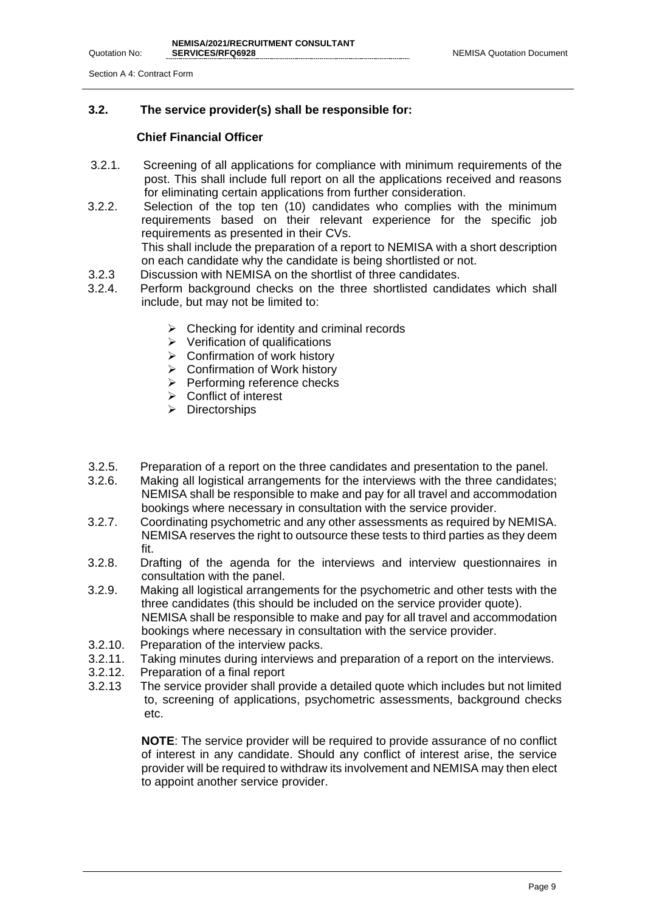### **3.2. The service provider(s) shall be responsible for:**

### **Chief Financial Officer**

- 3.2.1. Screening of all applications for compliance with minimum requirements of the post. This shall include full report on all the applications received and reasons for eliminating certain applications from further consideration.
- 3.2.2. Selection of the top ten (10) candidates who complies with the minimum requirements based on their relevant experience for the specific job requirements as presented in their CVs. This shall include the preparation of a report to NEMISA with a short description

on each candidate why the candidate is being shortlisted or not.

- 3.2.3 Discussion with NEMISA on the shortlist of three candidates.
- 3.2.4. Perform background checks on the three shortlisted candidates which shall include, but may not be limited to:
	- $\triangleright$  Checking for identity and criminal records
	- ➢ Verification of qualifications
	- $\triangleright$  Confirmation of work history
	- ➢ Confirmation of Work history
	- ➢ Performing reference checks
	- ➢ Conflict of interest
	- ➢ Directorships
- 3.2.5. Preparation of a report on the three candidates and presentation to the panel.
- 3.2.6. Making all logistical arrangements for the interviews with the three candidates; NEMISA shall be responsible to make and pay for all travel and accommodation bookings where necessary in consultation with the service provider.
- 3.2.7. Coordinating psychometric and any other assessments as required by NEMISA. NEMISA reserves the right to outsource these tests to third parties as they deem fit.
- 3.2.8. Drafting of the agenda for the interviews and interview questionnaires in consultation with the panel.
- 3.2.9. Making all logistical arrangements for the psychometric and other tests with the three candidates (this should be included on the service provider quote). NEMISA shall be responsible to make and pay for all travel and accommodation bookings where necessary in consultation with the service provider.
- 3.2.10. Preparation of the interview packs.
- 3.2.11. Taking minutes during interviews and preparation of a report on the interviews.
- 3.2.12. Preparation of a final report
- 3.2.13 The service provider shall provide a detailed quote which includes but not limited to, screening of applications, psychometric assessments, background checks etc.

**NOTE**: The service provider will be required to provide assurance of no conflict of interest in any candidate. Should any conflict of interest arise, the service provider will be required to withdraw its involvement and NEMISA may then elect to appoint another service provider.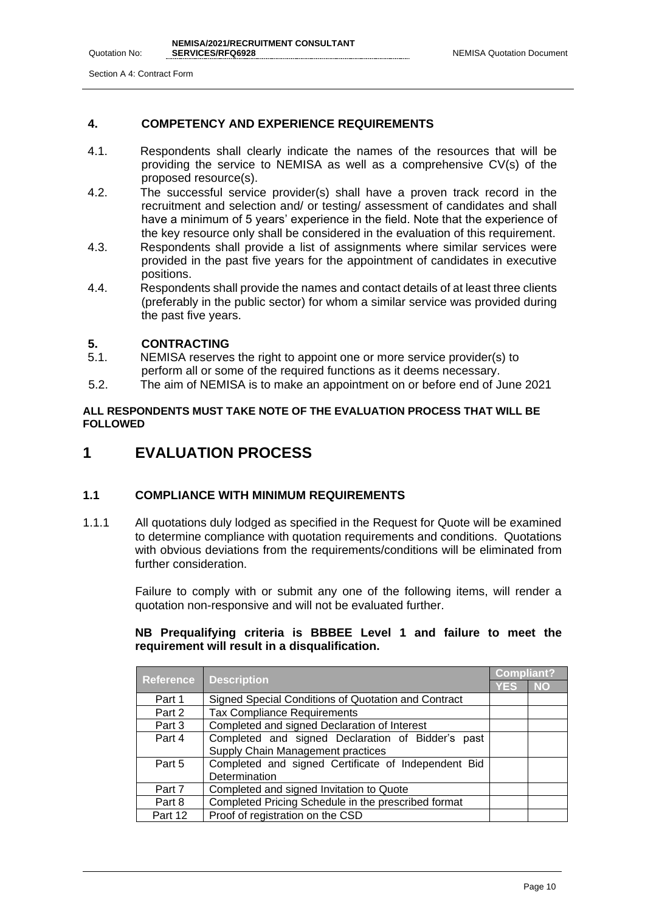### **4. COMPETENCY AND EXPERIENCE REQUIREMENTS**

- 4.1. Respondents shall clearly indicate the names of the resources that will be providing the service to NEMISA as well as a comprehensive CV(s) of the proposed resource(s).
- 4.2. The successful service provider(s) shall have a proven track record in the recruitment and selection and/ or testing/ assessment of candidates and shall have a minimum of 5 years' experience in the field. Note that the experience of the key resource only shall be considered in the evaluation of this requirement.
- 4.3. Respondents shall provide a list of assignments where similar services were provided in the past five years for the appointment of candidates in executive positions.
- 4.4. Respondents shall provide the names and contact details of at least three clients (preferably in the public sector) for whom a similar service was provided during the past five years.

### **5. CONTRACTING**

- 5.1. NEMISA reserves the right to appoint one or more service provider(s) to perform all or some of the required functions as it deems necessary.
- 5.2. The aim of NEMISA is to make an appointment on or before end of June 2021

### **ALL RESPONDENTS MUST TAKE NOTE OF THE EVALUATION PROCESS THAT WILL BE FOLLOWED**

## **1 EVALUATION PROCESS**

### **1.1 COMPLIANCE WITH MINIMUM REQUIREMENTS**

1.1.1 All quotations duly lodged as specified in the Request for Quote will be examined to determine compliance with quotation requirements and conditions. Quotations with obvious deviations from the requirements/conditions will be eliminated from further consideration.

> Failure to comply with or submit any one of the following items, will render a quotation non-responsive and will not be evaluated further.

### **NB Prequalifying criteria is BBBEE Level 1 and failure to meet the requirement will result in a disqualification.**

|                  |                                                     | <b>Compliant?</b> |           |
|------------------|-----------------------------------------------------|-------------------|-----------|
| <b>Reference</b> | <b>Description</b>                                  | <b>YES</b>        | <b>NO</b> |
| Part 1           | Signed Special Conditions of Quotation and Contract |                   |           |
| Part 2           | <b>Tax Compliance Requirements</b>                  |                   |           |
| Part 3           | Completed and signed Declaration of Interest        |                   |           |
| Part 4           | Completed and signed Declaration of Bidder's past   |                   |           |
|                  | Supply Chain Management practices                   |                   |           |
| Part 5           | Completed and signed Certificate of Independent Bid |                   |           |
|                  | Determination                                       |                   |           |
| Part 7           | Completed and signed Invitation to Quote            |                   |           |
| Part 8           | Completed Pricing Schedule in the prescribed format |                   |           |
| Part 12          | Proof of registration on the CSD                    |                   |           |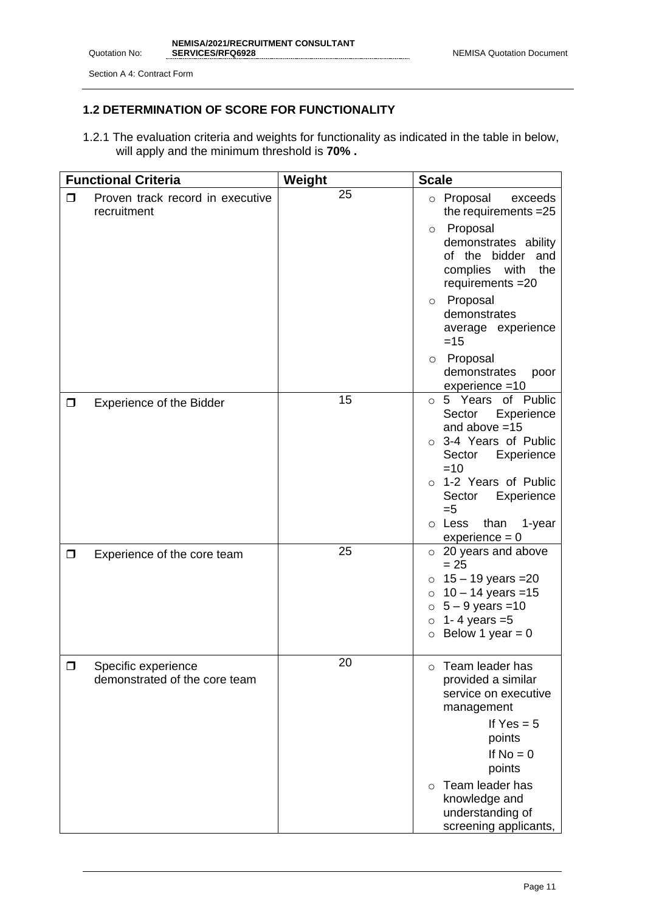Quotation No:

### **1.2 DETERMINATION OF SCORE FOR FUNCTIONALITY**

1.2.1 The evaluation criteria and weights for functionality as indicated in the table in below, will apply and the minimum threshold is **70% .**

|        | <b>Functional Criteria</b>                           | Weight | <b>Scale</b>                                                                                                                                                                                                                                                                                     |
|--------|------------------------------------------------------|--------|--------------------------------------------------------------------------------------------------------------------------------------------------------------------------------------------------------------------------------------------------------------------------------------------------|
| $\Box$ | Proven track record in executive<br>recruitment      | 25     | o Proposal<br>exceeds<br>the requirements = 25<br>Proposal<br>$\circ$<br>demonstrates ability<br>of the bidder and<br>complies with<br>the<br>requirements = 20<br>o Proposal<br>demonstrates<br>average experience<br>$=15$<br>Proposal<br>$\circ$<br>demonstrates<br>poor<br>$experience = 10$ |
| $\Box$ | <b>Experience of the Bidder</b>                      | 15     | o 5 Years of Public<br>Sector<br>Experience<br>and above $=15$<br>o 3-4 Years of Public<br>Experience<br>Sector<br>$=10$<br>o 1-2 Years of Public<br>Experience<br>Sector<br>$=5$<br>o Less than<br>1-year<br>$experience = 0$                                                                   |
| $\Box$ | Experience of the core team                          | 25     | $\circ$ 20 years and above<br>$= 25$<br>15 - 19 years = 20<br>$\circ$<br>$10 - 14$ years = 15<br>$\circ$<br>$5 - 9$ years = 10<br>$\circ$<br>1-4 years $=5$<br>$\circ$<br>Below 1 year = $0$<br>$\circ$                                                                                          |
| ◘      | Specific experience<br>demonstrated of the core team | 20     | Team leader has<br>$\circ$<br>provided a similar<br>service on executive<br>management<br>If $Yes = 5$<br>points<br>If $No = 0$<br>points<br>Team leader has<br>$\bigcirc$<br>knowledge and<br>understanding of<br>screening applicants,                                                         |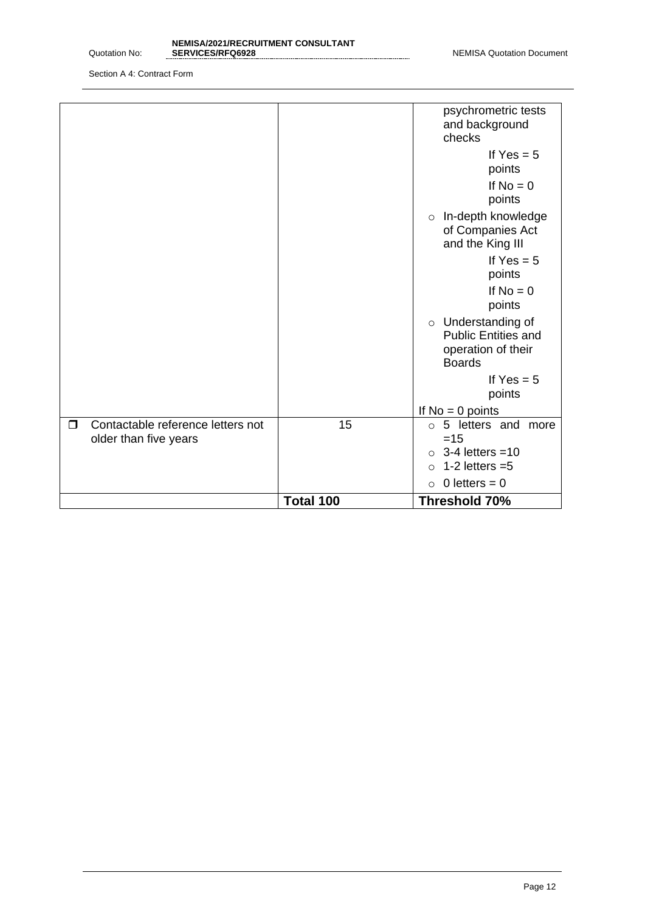|        |                                                            |    | 1-2 letters $=5$<br>$\Omega$<br>$\circ$ 0 letters = 0                                   |
|--------|------------------------------------------------------------|----|-----------------------------------------------------------------------------------------|
|        |                                                            |    | $\circ$ 3-4 letters = 10                                                                |
| $\Box$ | Contactable reference letters not<br>older than five years | 15 | ○ 5 letters and more<br>$=15$                                                           |
|        |                                                            |    | If $No = 0$ points                                                                      |
|        |                                                            |    | If $Yes = 5$<br>points                                                                  |
|        |                                                            |    | o Understanding of<br><b>Public Entities and</b><br>operation of their<br><b>Boards</b> |
|        |                                                            |    | If $No = 0$<br>points                                                                   |
|        |                                                            |    | If $Yes = 5$<br>points                                                                  |
|        |                                                            |    | o In-depth knowledge<br>of Companies Act<br>and the King III                            |
|        |                                                            |    | If $No = 0$<br>points                                                                   |
|        |                                                            |    | If $Yes = 5$<br>points                                                                  |
|        |                                                            |    | psychrometric tests<br>and background<br>checks                                         |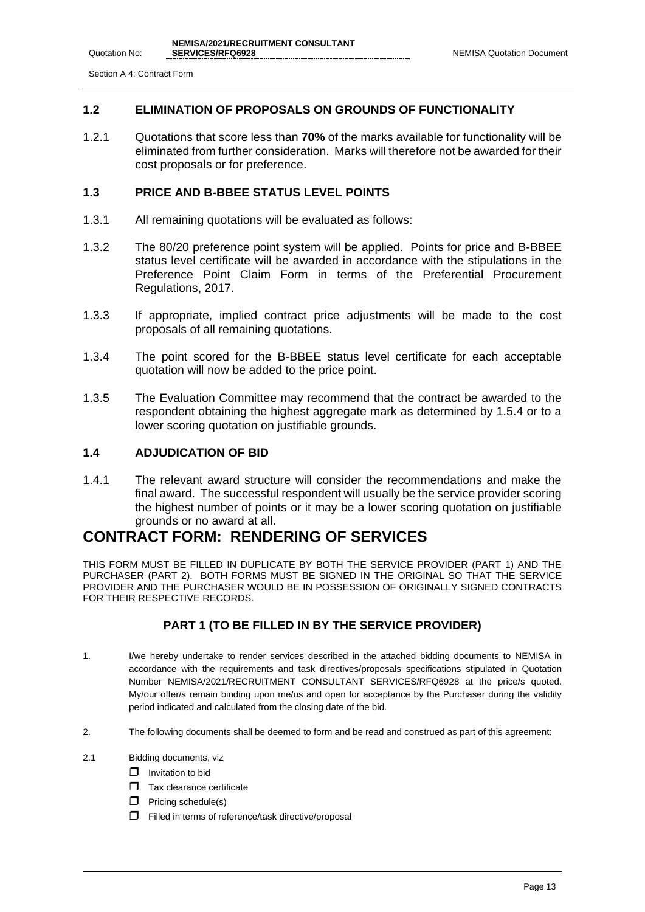### **1.2 ELIMINATION OF PROPOSALS ON GROUNDS OF FUNCTIONALITY**

1.2.1 Quotations that score less than **70%** of the marks available for functionality will be eliminated from further consideration. Marks will therefore not be awarded for their cost proposals or for preference.

### **1.3 PRICE AND B-BBEE STATUS LEVEL POINTS**

- 1.3.1 All remaining quotations will be evaluated as follows:
- 1.3.2 The 80/20 preference point system will be applied. Points for price and B-BBEE status level certificate will be awarded in accordance with the stipulations in the Preference Point Claim Form in terms of the Preferential Procurement Regulations, 2017.
- 1.3.3 If appropriate, implied contract price adjustments will be made to the cost proposals of all remaining quotations.
- 1.3.4 The point scored for the B-BBEE status level certificate for each acceptable quotation will now be added to the price point.
- 1.3.5 The Evaluation Committee may recommend that the contract be awarded to the respondent obtaining the highest aggregate mark as determined by 1.5.4 or to a lower scoring quotation on justifiable grounds.

### **1.4 ADJUDICATION OF BID**

1.4.1 The relevant award structure will consider the recommendations and make the final award. The successful respondent will usually be the service provider scoring the highest number of points or it may be a lower scoring quotation on justifiable grounds or no award at all.

## **CONTRACT FORM: RENDERING OF SERVICES**

THIS FORM MUST BE FILLED IN DUPLICATE BY BOTH THE SERVICE PROVIDER (PART 1) AND THE PURCHASER (PART 2). BOTH FORMS MUST BE SIGNED IN THE ORIGINAL SO THAT THE SERVICE PROVIDER AND THE PURCHASER WOULD BE IN POSSESSION OF ORIGINALLY SIGNED CONTRACTS FOR THEIR RESPECTIVE RECORDS.

### **PART 1 (TO BE FILLED IN BY THE SERVICE PROVIDER)**

- 1. I/we hereby undertake to render services described in the attached bidding documents to NEMISA in accordance with the requirements and task directives/proposals specifications stipulated in Quotation Number NEMISA/2021/RECRUITMENT CONSULTANT SERVICES/RFQ6928 at the price/s quoted. My/our offer/s remain binding upon me/us and open for acceptance by the Purchaser during the validity period indicated and calculated from the closing date of the bid.
- 2. The following documents shall be deemed to form and be read and construed as part of this agreement:
- 2.1 Bidding documents, viz
	- $\Box$  Invitation to bid
	- $\Box$  Tax clearance certificate
	- $\Box$  Pricing schedule(s)
	- $\Box$  Filled in terms of reference/task directive/proposal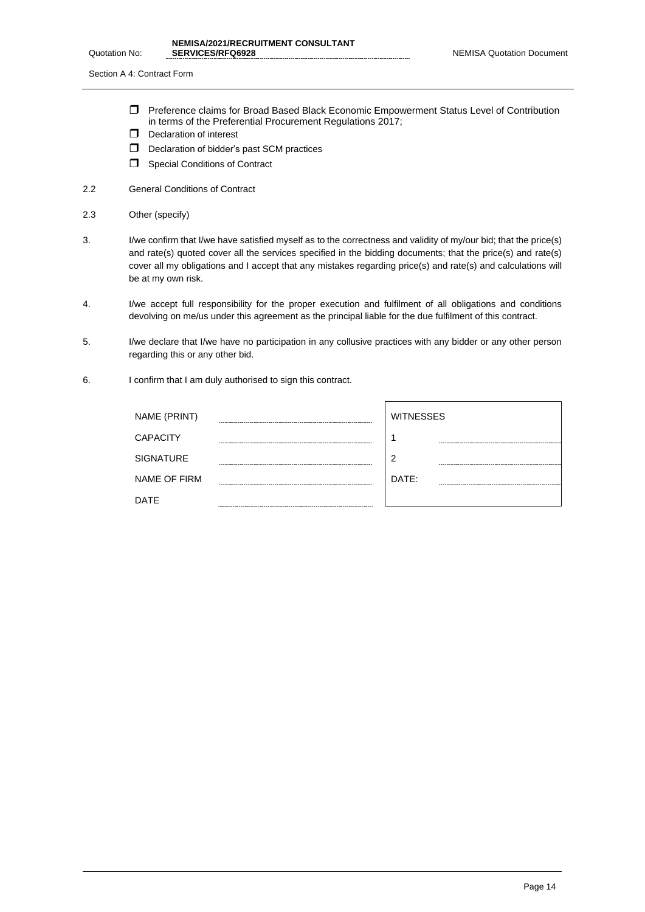- Preference claims for Broad Based Black Economic Empowerment Status Level of Contribution in terms of the Preferential Procurement Regulations 2017;
- D Declaration of interest
- D Declaration of bidder's past SCM practices
- Special Conditions of Contract
- 2.2 General Conditions of Contract
- 2.3 Other (specify)
- 3. I/we confirm that I/we have satisfied myself as to the correctness and validity of my/our bid; that the price(s) and rate(s) quoted cover all the services specified in the bidding documents; that the price(s) and rate(s) cover all my obligations and I accept that any mistakes regarding price(s) and rate(s) and calculations will be at my own risk.
- 4. I/we accept full responsibility for the proper execution and fulfilment of all obligations and conditions devolving on me/us under this agreement as the principal liable for the due fulfilment of this contract.
- 5. I/we declare that I/we have no participation in any collusive practices with any bidder or any other person regarding this or any other bid.
- 6. I confirm that I am duly authorised to sign this contract.

| NAME (PRINT)    |                             | <b>WITNESSES</b> |
|-----------------|-----------------------------|------------------|
| <b>CAPACITY</b> |                             |                  |
| SIGNATURE       |                             | າ                |
| NAME OF FIRM    |                             | DATE:            |
| DATE            | --------------------------- |                  |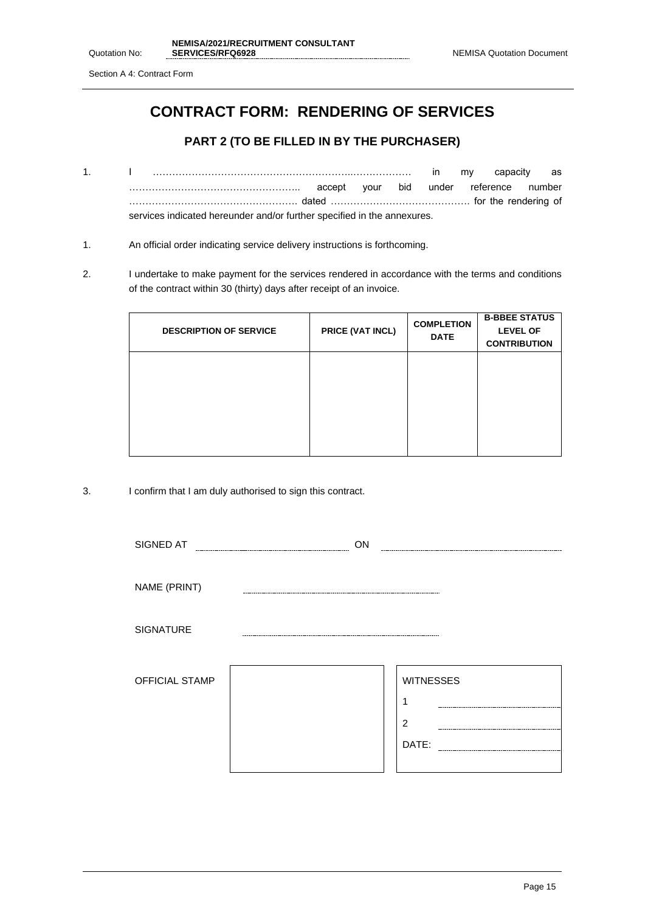## **CONTRACT FORM: RENDERING OF SERVICES**

### **PART 2 (TO BE FILLED IN BY THE PURCHASER)**

- 1. I ……………………………………………………..……………… in my capacity as …………………………………………….. accept your bid under reference number ……………………………………………. dated ……………………………………. for the rendering of services indicated hereunder and/or further specified in the annexures.
- 1. An official order indicating service delivery instructions is forthcoming.
- 2. I undertake to make payment for the services rendered in accordance with the terms and conditions of the contract within 30 (thirty) days after receipt of an invoice.

| <b>DESCRIPTION OF SERVICE</b> | PRICE (VAT INCL) | <b>COMPLETION</b><br><b>DATE</b> | <b>B-BBEE STATUS</b><br><b>LEVEL OF</b><br><b>CONTRIBUTION</b> |
|-------------------------------|------------------|----------------------------------|----------------------------------------------------------------|
|                               |                  |                                  |                                                                |
|                               |                  |                                  |                                                                |

3. I confirm that I am duly authorised to sign this contract.

| SIGNED AT             | ON |                  |
|-----------------------|----|------------------|
|                       |    |                  |
| NAME (PRINT)          |    |                  |
| <b>SIGNATURE</b>      |    |                  |
| <b>OFFICIAL STAMP</b> |    | <b>WITNESSES</b> |
|                       |    |                  |
|                       |    | $\overline{2}$   |
|                       |    | DATE:            |
|                       |    |                  |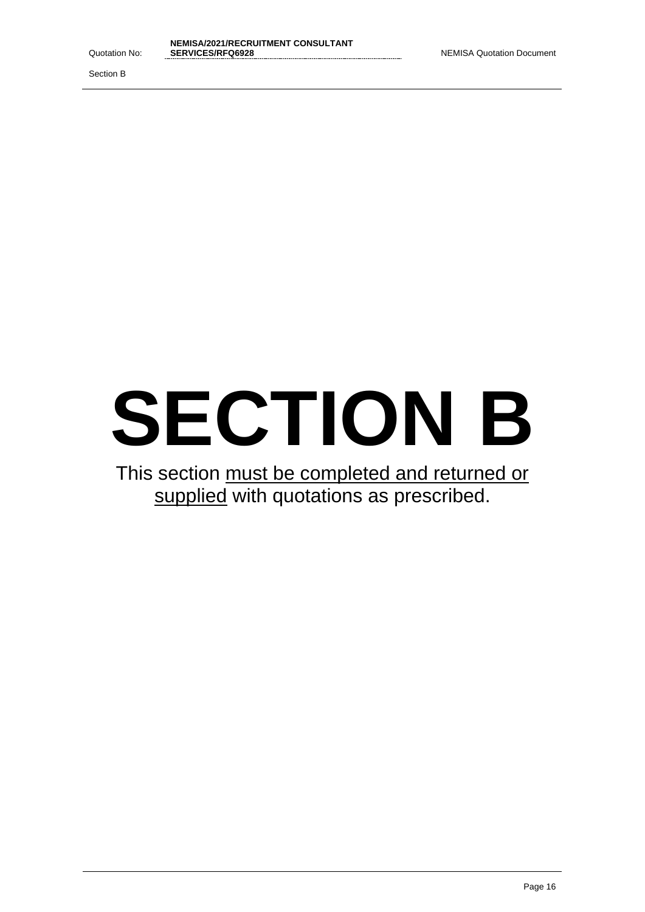Section B

# **SECTION B**

This section must be completed and returned or supplied with quotations as prescribed.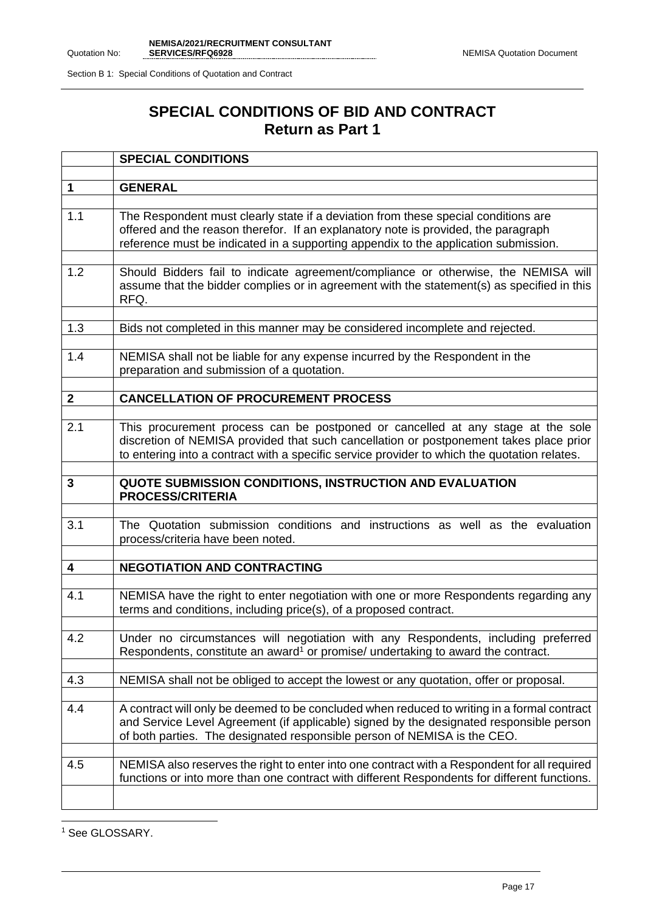# **SPECIAL CONDITIONS OF BID AND CONTRACT Return as Part 1**

|                         | <b>SPECIAL CONDITIONS</b>                                                                                                                                                                                                                                                 |
|-------------------------|---------------------------------------------------------------------------------------------------------------------------------------------------------------------------------------------------------------------------------------------------------------------------|
| $\mathbf{1}$            | <b>GENERAL</b>                                                                                                                                                                                                                                                            |
|                         |                                                                                                                                                                                                                                                                           |
| 1.1                     | The Respondent must clearly state if a deviation from these special conditions are<br>offered and the reason therefor. If an explanatory note is provided, the paragraph<br>reference must be indicated in a supporting appendix to the application submission.           |
| 1.2                     | Should Bidders fail to indicate agreement/compliance or otherwise, the NEMISA will<br>assume that the bidder complies or in agreement with the statement(s) as specified in this<br>RFQ.                                                                                  |
| 1.3                     | Bids not completed in this manner may be considered incomplete and rejected.                                                                                                                                                                                              |
| 1.4                     | NEMISA shall not be liable for any expense incurred by the Respondent in the<br>preparation and submission of a quotation.                                                                                                                                                |
| $\mathbf{2}$            | <b>CANCELLATION OF PROCUREMENT PROCESS</b>                                                                                                                                                                                                                                |
|                         |                                                                                                                                                                                                                                                                           |
| 2.1                     | This procurement process can be postponed or cancelled at any stage at the sole<br>discretion of NEMISA provided that such cancellation or postponement takes place prior<br>to entering into a contract with a specific service provider to which the quotation relates. |
| 3                       | QUOTE SUBMISSION CONDITIONS, INSTRUCTION AND EVALUATION<br><b>PROCESS/CRITERIA</b>                                                                                                                                                                                        |
| 3.1                     | The Quotation submission conditions and instructions as well as the evaluation<br>process/criteria have been noted.                                                                                                                                                       |
| $\overline{\mathbf{4}}$ | <b>NEGOTIATION AND CONTRACTING</b>                                                                                                                                                                                                                                        |
| 4.1                     | NEMISA have the right to enter negotiation with one or more Respondents regarding any<br>terms and conditions, including price(s), of a proposed contract.                                                                                                                |
| 4.2                     | Under no circumstances will negotiation with any Respondents, including preferred<br>Respondents, constitute an award <sup>1</sup> or promise/ undertaking to award the contract.                                                                                         |
| 4.3                     | NEMISA shall not be obliged to accept the lowest or any quotation, offer or proposal.                                                                                                                                                                                     |
| 4.4                     | A contract will only be deemed to be concluded when reduced to writing in a formal contract<br>and Service Level Agreement (if applicable) signed by the designated responsible person<br>of both parties. The designated responsible person of NEMISA is the CEO.        |
| 4.5                     | NEMISA also reserves the right to enter into one contract with a Respondent for all required<br>functions or into more than one contract with different Respondents for different functions.                                                                              |
|                         |                                                                                                                                                                                                                                                                           |

<sup>1</sup> See GLOSSARY.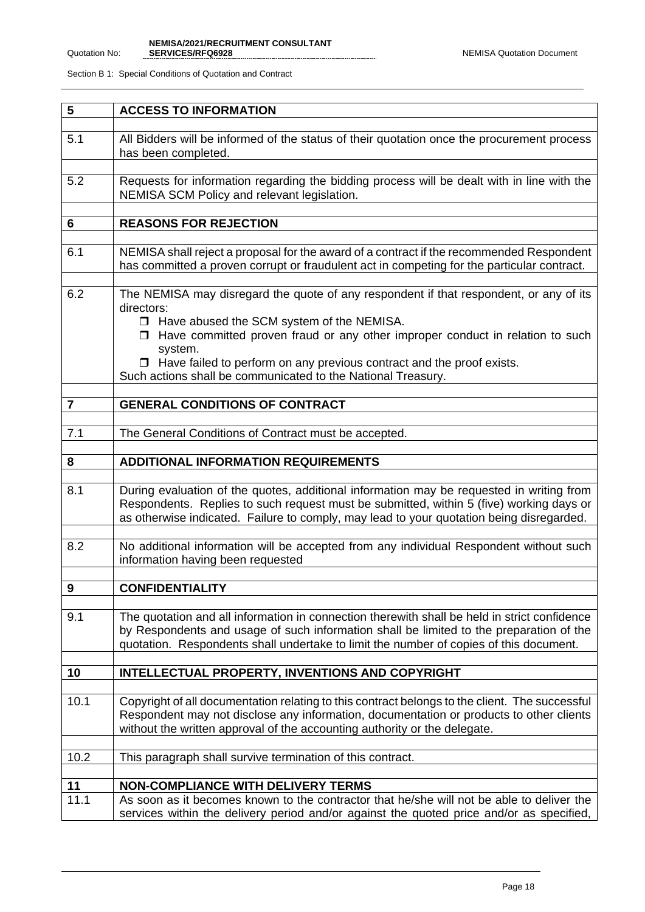| 5              | <b>ACCESS TO INFORMATION</b>                                                                                                                                                                                                                                                                                                                                                                           |
|----------------|--------------------------------------------------------------------------------------------------------------------------------------------------------------------------------------------------------------------------------------------------------------------------------------------------------------------------------------------------------------------------------------------------------|
| 5.1            | All Bidders will be informed of the status of their quotation once the procurement process<br>has been completed.                                                                                                                                                                                                                                                                                      |
| 5.2            | Requests for information regarding the bidding process will be dealt with in line with the<br>NEMISA SCM Policy and relevant legislation.                                                                                                                                                                                                                                                              |
| 6              | <b>REASONS FOR REJECTION</b>                                                                                                                                                                                                                                                                                                                                                                           |
| 6.1            | NEMISA shall reject a proposal for the award of a contract if the recommended Respondent<br>has committed a proven corrupt or fraudulent act in competing for the particular contract.                                                                                                                                                                                                                 |
| 6.2            | The NEMISA may disregard the quote of any respondent if that respondent, or any of its<br>directors:<br>□ Have abused the SCM system of the NEMISA.<br>$\Box$ Have committed proven fraud or any other improper conduct in relation to such<br>system.<br>$\Box$ Have failed to perform on any previous contract and the proof exists.<br>Such actions shall be communicated to the National Treasury. |
| $\overline{7}$ | <b>GENERAL CONDITIONS OF CONTRACT</b>                                                                                                                                                                                                                                                                                                                                                                  |
| 7.1            | The General Conditions of Contract must be accepted.                                                                                                                                                                                                                                                                                                                                                   |
| 8              | <b>ADDITIONAL INFORMATION REQUIREMENTS</b>                                                                                                                                                                                                                                                                                                                                                             |
| 8.1            | During evaluation of the quotes, additional information may be requested in writing from<br>Respondents. Replies to such request must be submitted, within 5 (five) working days or<br>as otherwise indicated. Failure to comply, may lead to your quotation being disregarded.                                                                                                                        |
| 8.2            | No additional information will be accepted from any individual Respondent without such<br>information having been requested                                                                                                                                                                                                                                                                            |
| 9              | <b>CONFIDENTIALITY</b>                                                                                                                                                                                                                                                                                                                                                                                 |
| 9.1            | The quotation and all information in connection therewith shall be held in strict confidence<br>by Respondents and usage of such information shall be limited to the preparation of the<br>quotation. Respondents shall undertake to limit the number of copies of this document.                                                                                                                      |
| 10             | INTELLECTUAL PROPERTY, INVENTIONS AND COPYRIGHT                                                                                                                                                                                                                                                                                                                                                        |
| 10.1           | Copyright of all documentation relating to this contract belongs to the client. The successful<br>Respondent may not disclose any information, documentation or products to other clients<br>without the written approval of the accounting authority or the delegate.                                                                                                                                 |
| 10.2           | This paragraph shall survive termination of this contract.                                                                                                                                                                                                                                                                                                                                             |
| 11             | <b>NON-COMPLIANCE WITH DELIVERY TERMS</b>                                                                                                                                                                                                                                                                                                                                                              |
| 11.1           | As soon as it becomes known to the contractor that he/she will not be able to deliver the<br>services within the delivery period and/or against the quoted price and/or as specified,                                                                                                                                                                                                                  |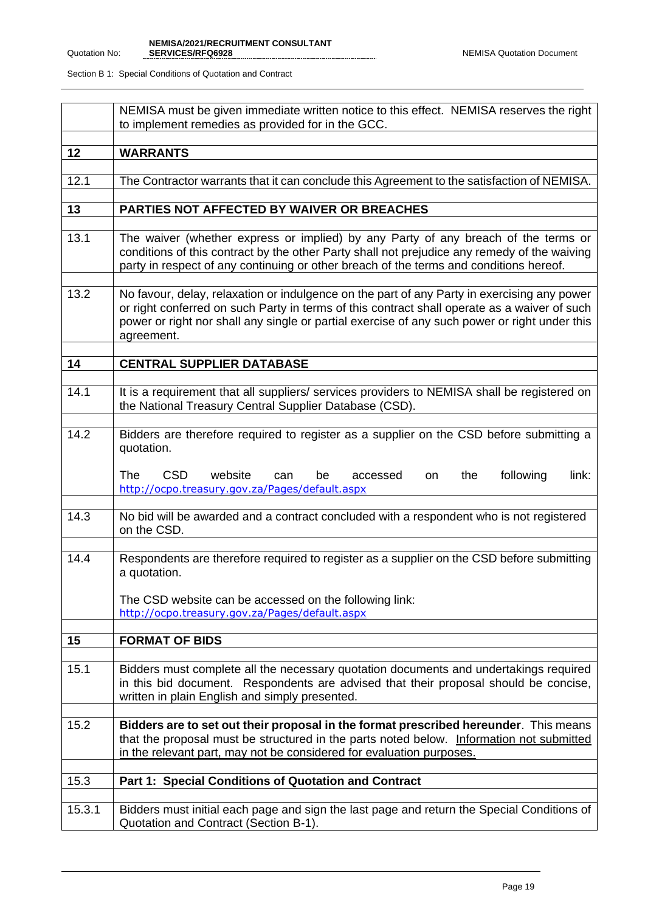|        | NEMISA must be given immediate written notice to this effect. NEMISA reserves the right<br>to implement remedies as provided for in the GCC.                                                                                                                                                               |
|--------|------------------------------------------------------------------------------------------------------------------------------------------------------------------------------------------------------------------------------------------------------------------------------------------------------------|
| 12     | <b>WARRANTS</b>                                                                                                                                                                                                                                                                                            |
| 12.1   | The Contractor warrants that it can conclude this Agreement to the satisfaction of NEMISA.                                                                                                                                                                                                                 |
| 13     | PARTIES NOT AFFECTED BY WAIVER OR BREACHES                                                                                                                                                                                                                                                                 |
| 13.1   | The waiver (whether express or implied) by any Party of any breach of the terms or<br>conditions of this contract by the other Party shall not prejudice any remedy of the waiving<br>party in respect of any continuing or other breach of the terms and conditions hereof.                               |
| 13.2   | No favour, delay, relaxation or indulgence on the part of any Party in exercising any power<br>or right conferred on such Party in terms of this contract shall operate as a waiver of such<br>power or right nor shall any single or partial exercise of any such power or right under this<br>agreement. |
| 14     | <b>CENTRAL SUPPLIER DATABASE</b>                                                                                                                                                                                                                                                                           |
| 14.1   | It is a requirement that all suppliers/ services providers to NEMISA shall be registered on<br>the National Treasury Central Supplier Database (CSD).                                                                                                                                                      |
| 14.2   | Bidders are therefore required to register as a supplier on the CSD before submitting a<br>quotation.<br><b>The</b><br>CSD<br>following<br>website<br>the<br>be<br>link:<br>can<br>accessed<br>on.<br>http://ocpo.treasury.gov.za/Pages/default.aspx                                                       |
| 14.3   | No bid will be awarded and a contract concluded with a respondent who is not registered<br>on the CSD.                                                                                                                                                                                                     |
| 14.4   | Respondents are therefore required to register as a supplier on the CSD before submitting<br>a quotation.<br>The CSD website can be accessed on the following link:<br>http://ocpo.treasury.gov.za/Pages/default.aspx                                                                                      |
| 15     | <b>FORMAT OF BIDS</b>                                                                                                                                                                                                                                                                                      |
| 15.1   | Bidders must complete all the necessary quotation documents and undertakings required<br>in this bid document. Respondents are advised that their proposal should be concise,<br>written in plain English and simply presented.                                                                            |
| 15.2   | Bidders are to set out their proposal in the format prescribed hereunder. This means<br>that the proposal must be structured in the parts noted below. Information not submitted<br>in the relevant part, may not be considered for evaluation purposes.                                                   |
| 15.3   | Part 1: Special Conditions of Quotation and Contract                                                                                                                                                                                                                                                       |
| 15.3.1 | Bidders must initial each page and sign the last page and return the Special Conditions of<br>Quotation and Contract (Section B-1).                                                                                                                                                                        |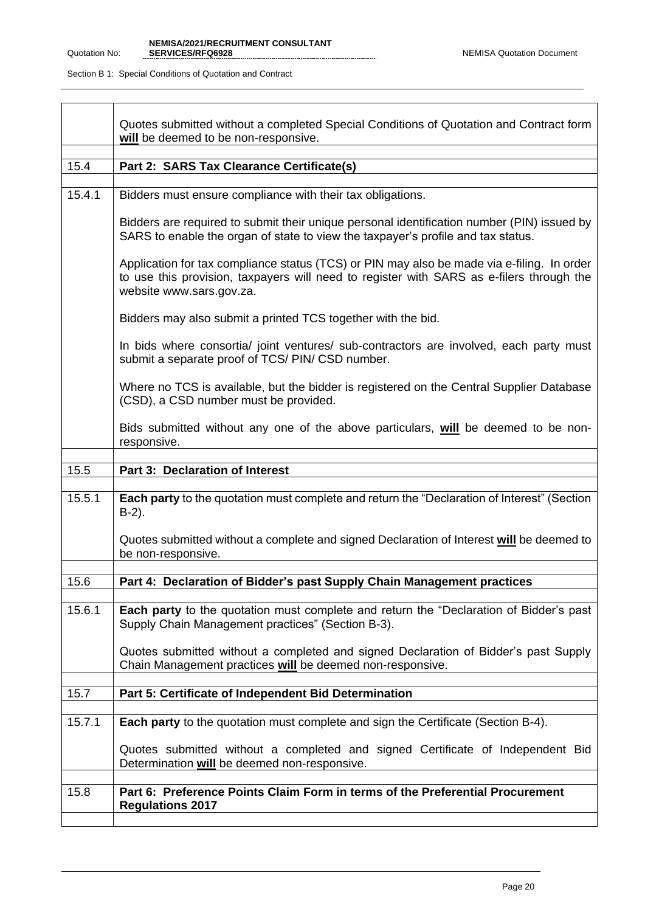|        | Quotes submitted without a completed Special Conditions of Quotation and Contract form<br>will be deemed to be non-responsive.                                                                                     |
|--------|--------------------------------------------------------------------------------------------------------------------------------------------------------------------------------------------------------------------|
| 15.4   |                                                                                                                                                                                                                    |
|        | Part 2: SARS Tax Clearance Certificate(s)                                                                                                                                                                          |
| 15.4.1 | Bidders must ensure compliance with their tax obligations.                                                                                                                                                         |
|        | Bidders are required to submit their unique personal identification number (PIN) issued by<br>SARS to enable the organ of state to view the taxpayer's profile and tax status.                                     |
|        | Application for tax compliance status (TCS) or PIN may also be made via e-filing. In order<br>to use this provision, taxpayers will need to register with SARS as e-filers through the<br>website www.sars.gov.za. |
|        | Bidders may also submit a printed TCS together with the bid.                                                                                                                                                       |
|        | In bids where consortia/ joint ventures/ sub-contractors are involved, each party must<br>submit a separate proof of TCS/ PIN/ CSD number.                                                                         |
|        | Where no TCS is available, but the bidder is registered on the Central Supplier Database<br>(CSD), a CSD number must be provided.                                                                                  |
|        | Bids submitted without any one of the above particulars, will be deemed to be non-<br>responsive.                                                                                                                  |
|        |                                                                                                                                                                                                                    |
|        |                                                                                                                                                                                                                    |
| 15.5   | Part 3: Declaration of Interest                                                                                                                                                                                    |
| 15.5.1 | Each party to the quotation must complete and return the "Declaration of Interest" (Section<br>$B-2$ ).                                                                                                            |
|        | Quotes submitted without a complete and signed Declaration of Interest will be deemed to<br>be non-responsive.                                                                                                     |
|        |                                                                                                                                                                                                                    |
| 15.6   | Part 4: Declaration of Bidder's past Supply Chain Management practices                                                                                                                                             |
| 15.6.1 | <b>Each party</b> to the quotation must complete and return the "Declaration of Bidder's past<br>Supply Chain Management practices" (Section B-3).                                                                 |
|        | Quotes submitted without a completed and signed Declaration of Bidder's past Supply<br>Chain Management practices will be deemed non-responsive.                                                                   |
|        |                                                                                                                                                                                                                    |
| 15.7   | Part 5: Certificate of Independent Bid Determination                                                                                                                                                               |
| 15.7.1 | <b>Each party</b> to the quotation must complete and sign the Certificate (Section B-4).                                                                                                                           |
|        | Quotes submitted without a completed and signed Certificate of Independent Bid<br>Determination will be deemed non-responsive.                                                                                     |
| 15.8   | Part 6: Preference Points Claim Form in terms of the Preferential Procurement                                                                                                                                      |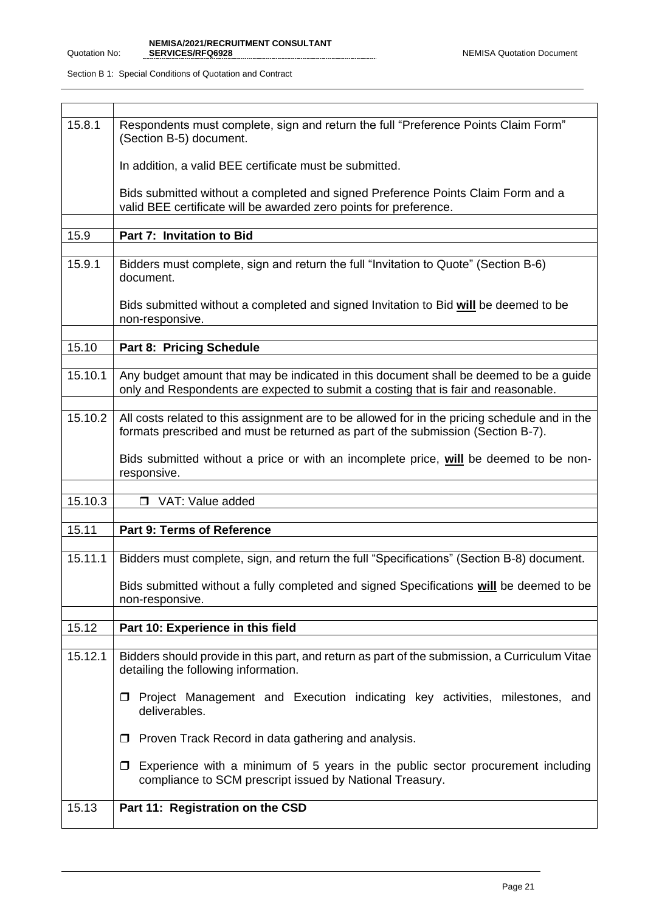| 15.8.1  | Respondents must complete, sign and return the full "Preference Points Claim Form"<br>(Section B-5) document.                                                                     |
|---------|-----------------------------------------------------------------------------------------------------------------------------------------------------------------------------------|
|         | In addition, a valid BEE certificate must be submitted.                                                                                                                           |
|         | Bids submitted without a completed and signed Preference Points Claim Form and a<br>valid BEE certificate will be awarded zero points for preference.                             |
|         |                                                                                                                                                                                   |
| 15.9    | Part 7: Invitation to Bid                                                                                                                                                         |
| 15.9.1  | Bidders must complete, sign and return the full "Invitation to Quote" (Section B-6)<br>document.                                                                                  |
|         | Bids submitted without a completed and signed Invitation to Bid will be deemed to be<br>non-responsive.                                                                           |
|         |                                                                                                                                                                                   |
| 15.10   | <b>Part 8: Pricing Schedule</b>                                                                                                                                                   |
| 15.10.1 | Any budget amount that may be indicated in this document shall be deemed to be a guide<br>only and Respondents are expected to submit a costing that is fair and reasonable.      |
|         |                                                                                                                                                                                   |
| 15.10.2 | All costs related to this assignment are to be allowed for in the pricing schedule and in the<br>formats prescribed and must be returned as part of the submission (Section B-7). |
|         | Bids submitted without a price or with an incomplete price, will be deemed to be non-<br>responsive.                                                                              |
|         |                                                                                                                                                                                   |
| 15.10.3 | VAT: Value added                                                                                                                                                                  |
|         |                                                                                                                                                                                   |
| 15.11   | Part 9: Terms of Reference                                                                                                                                                        |
| 15.11.1 | Bidders must complete, sign, and return the full "Specifications" (Section B-8) document.                                                                                         |
|         | Bids submitted without a fully completed and signed Specifications will be deemed to be<br>non-responsive.                                                                        |
|         |                                                                                                                                                                                   |
| 15.12   | Part 10: Experience in this field                                                                                                                                                 |
| 15.12.1 | Bidders should provide in this part, and return as part of the submission, a Curriculum Vitae<br>detailing the following information.                                             |
|         | Project Management and Execution indicating key activities, milestones, and<br>$\Box$<br>deliverables.                                                                            |
|         | Proven Track Record in data gathering and analysis.<br>□                                                                                                                          |
|         | Experience with a minimum of 5 years in the public sector procurement including<br>0<br>compliance to SCM prescript issued by National Treasury.                                  |
| 15.13   | Part 11: Registration on the CSD                                                                                                                                                  |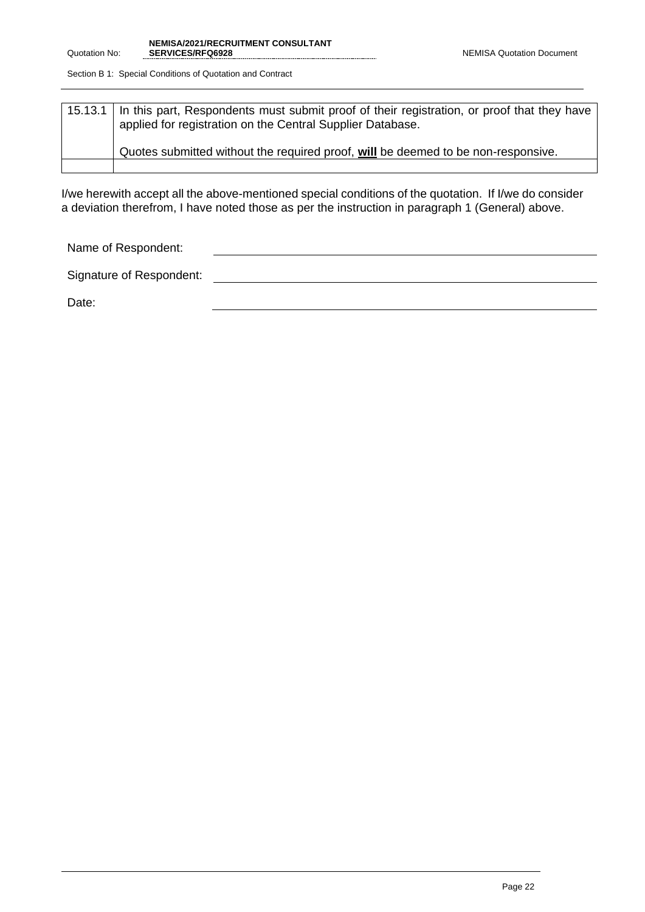| 15.13.1   In this part, Respondents must submit proof of their registration, or proof that they have<br>applied for registration on the Central Supplier Database. |
|--------------------------------------------------------------------------------------------------------------------------------------------------------------------|
| Quotes submitted without the required proof, will be deemed to be non-responsive.                                                                                  |
|                                                                                                                                                                    |

I/we herewith accept all the above-mentioned special conditions of the quotation. If I/we do consider a deviation therefrom, I have noted those as per the instruction in paragraph 1 (General) above.

Name of Respondent:

Signature of Respondent:

Date: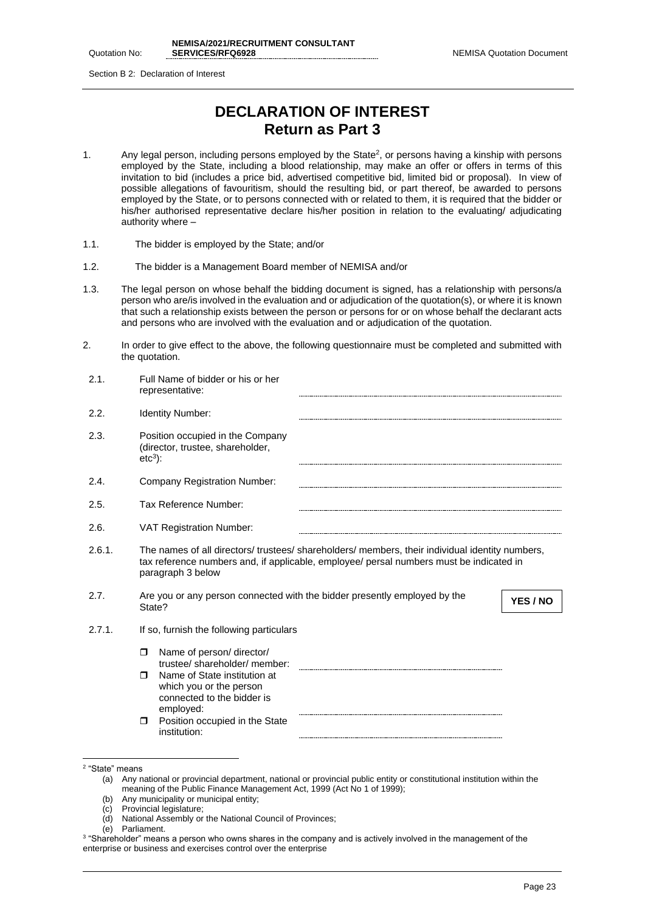Quotation No:

Section B 2: Declaration of Interest

## **DECLARATION OF INTEREST Return as Part 3**

- 1. Any legal person, including persons employed by the State<sup>2</sup>, or persons having a kinship with persons employed by the State, including a blood relationship, may make an offer or offers in terms of this invitation to bid (includes a price bid, advertised competitive bid, limited bid or proposal). In view of possible allegations of favouritism, should the resulting bid, or part thereof, be awarded to persons employed by the State, or to persons connected with or related to them, it is required that the bidder or his/her authorised representative declare his/her position in relation to the evaluating/ adjudicating authority where –
- 1.1. The bidder is employed by the State; and/or
- 1.2. The bidder is a Management Board member of NEMISA and/or
- 1.3. The legal person on whose behalf the bidding document is signed, has a relationship with persons/a person who are/is involved in the evaluation and or adjudication of the quotation(s), or where it is known that such a relationship exists between the person or persons for or on whose behalf the declarant acts and persons who are involved with the evaluation and or adjudication of the quotation.
- 2. In order to give effect to the above, the following questionnaire must be completed and submitted with the quotation.

| 2.1.   | Full Name of bidder or his or her<br>representative:                                                                                                                                                            |
|--------|-----------------------------------------------------------------------------------------------------------------------------------------------------------------------------------------------------------------|
| 2.2.   | <b>Identity Number:</b>                                                                                                                                                                                         |
| 2.3.   | Position occupied in the Company<br>(director, trustee, shareholder,<br>$etc3$ :                                                                                                                                |
| 2.4.   | <b>Company Registration Number:</b>                                                                                                                                                                             |
| 2.5.   | Tax Reference Number:                                                                                                                                                                                           |
| 2.6.   | <b>VAT Registration Number:</b>                                                                                                                                                                                 |
| 2.6.1. | The names of all directors/ trustees/ shareholders/ members, their individual identity numbers,<br>tax reference numbers and, if applicable, employee/ persal numbers must be indicated in<br>paragraph 3 below |
| 2.7.   | Are you or any person connected with the bidder presently employed by the<br>YES / NO<br>State?                                                                                                                 |
| 2.7.1. | If so, furnish the following particulars                                                                                                                                                                        |
|        | Name of person/director/<br>$\Box$                                                                                                                                                                              |
|        | trustee/shareholder/member:<br>Name of State institution at<br>$\Box$<br>which you or the person<br>connected to the bidder is                                                                                  |
|        | employed:<br>Position occupied in the State<br>$\Box$<br>institution:                                                                                                                                           |

- (c) Provincial legislature;
- (d) National Assembly or the National Council of Provinces;

<sup>2</sup> "State" means

<sup>(</sup>a) Any national or provincial department, national or provincial public entity or constitutional institution within the meaning of the Public Finance Management Act, 1999 (Act No 1 of 1999);

<sup>(</sup>b) Any municipality or municipal entity;

<sup>(</sup>e) Parliament.

<sup>3</sup> "Shareholder" means a person who owns shares in the company and is actively involved in the management of the enterprise or business and exercises control over the enterprise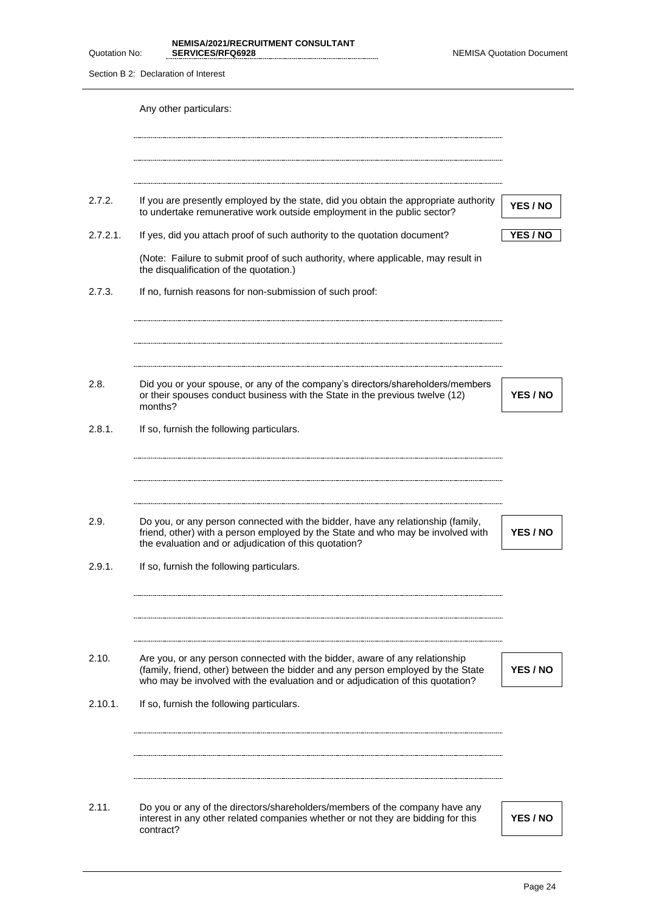**NEMISA/2021/RECRUITMENT CONSULTANT** 

| Quotation No: | SERVICES/RFQ6928                                                                                                                                                                                                                                 | <b>NEMISA Quotation Document</b> |
|---------------|--------------------------------------------------------------------------------------------------------------------------------------------------------------------------------------------------------------------------------------------------|----------------------------------|
|               | Section B 2: Declaration of Interest                                                                                                                                                                                                             |                                  |
|               | Any other particulars:                                                                                                                                                                                                                           |                                  |
|               |                                                                                                                                                                                                                                                  |                                  |
| 2.7.2.        | If you are presently employed by the state, did you obtain the appropriate authority<br>to undertake remunerative work outside employment in the public sector?                                                                                  | YES / NO                         |
| 2.7.2.1.      | If yes, did you attach proof of such authority to the quotation document?                                                                                                                                                                        | YES / NO                         |
|               | (Note: Failure to submit proof of such authority, where applicable, may result in<br>the disqualification of the quotation.)                                                                                                                     |                                  |
| 2.7.3.        | If no, furnish reasons for non-submission of such proof:                                                                                                                                                                                         |                                  |
|               |                                                                                                                                                                                                                                                  |                                  |
| 2.8.          | Did you or your spouse, or any of the company's directors/shareholders/members<br>or their spouses conduct business with the State in the previous twelve (12)<br>months?                                                                        | YES / NO                         |
| 2.8.1.        | If so, furnish the following particulars.                                                                                                                                                                                                        |                                  |
|               |                                                                                                                                                                                                                                                  |                                  |
| 2.9.          | Do you, or any person connected with the bidder, have any relationship (family,<br>friend, other) with a person employed by the State and who may be involved with<br>the evaluation and or adjudication of this quotation?                      | YES / NO                         |
| 2.9.1.        | If so, furnish the following particulars.                                                                                                                                                                                                        |                                  |
|               |                                                                                                                                                                                                                                                  |                                  |
| 2.10.         | Are you, or any person connected with the bidder, aware of any relationship<br>(family, friend, other) between the bidder and any person employed by the State<br>who may be involved with the evaluation and or adjudication of this quotation? | YES / NO                         |
| 2.10.1.       | If so, furnish the following particulars.                                                                                                                                                                                                        |                                  |
|               |                                                                                                                                                                                                                                                  |                                  |
| 2.11.         | Do you or any of the directors/shareholders/members of the company have any<br>interest in any other related companies whether or not they are bidding for this<br>contract?                                                                     | YES / NO                         |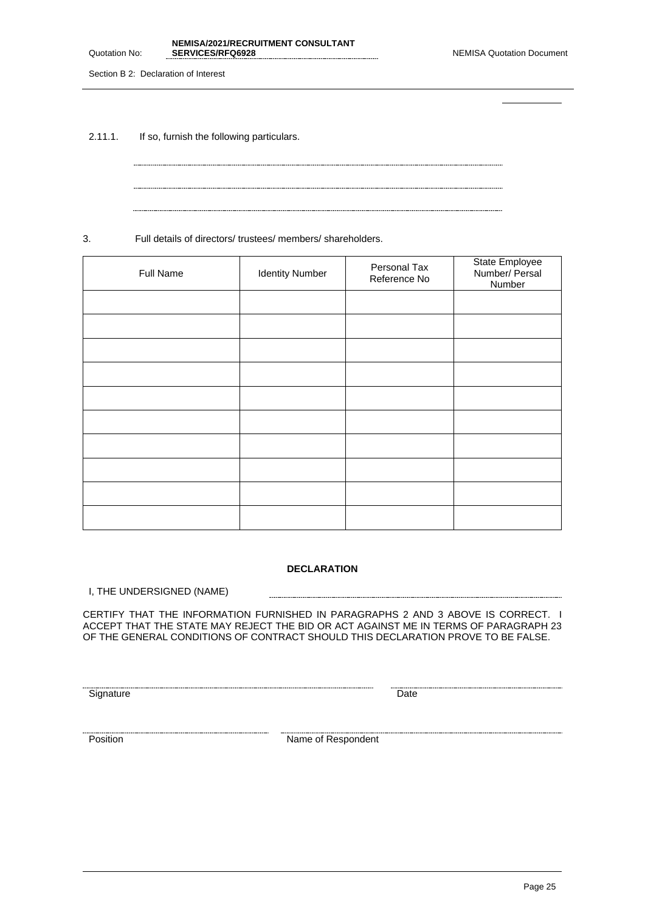**NEMISA/2021/RECRUITMENT CONSULTANT** 

Section B 2: Declaration of Interest

Quotation No:

2.11.1. If so, furnish the following particulars.

3. Full details of directors/ trustees/ members/ shareholders.

| <b>Full Name</b> | <b>Identity Number</b> | Personal Tax<br>Reference No | State Employee<br>Number/ Persal<br>Number |
|------------------|------------------------|------------------------------|--------------------------------------------|
|                  |                        |                              |                                            |
|                  |                        |                              |                                            |
|                  |                        |                              |                                            |
|                  |                        |                              |                                            |
|                  |                        |                              |                                            |
|                  |                        |                              |                                            |
|                  |                        |                              |                                            |
|                  |                        |                              |                                            |
|                  |                        |                              |                                            |
|                  |                        |                              |                                            |

### **DECLARATION**

I, THE UNDERSIGNED (NAME)

CERTIFY THAT THE INFORMATION FURNISHED IN PARAGRAPHS 2 AND 3 ABOVE IS CORRECT. I ACCEPT THAT THE STATE MAY REJECT THE BID OR ACT AGAINST ME IN TERMS OF PARAGRAPH 23 OF THE GENERAL CONDITIONS OF CONTRACT SHOULD THIS DECLARATION PROVE TO BE FALSE.

 $\sim$ 

<u>Signature</u> Construction Construction Construction Construction Construction Construction Construction Construction<br>Construction Construction Construction Construction Construction Construction Construction Construction Co

Position **Name of Respondent**<br>Position **Name of Respondent**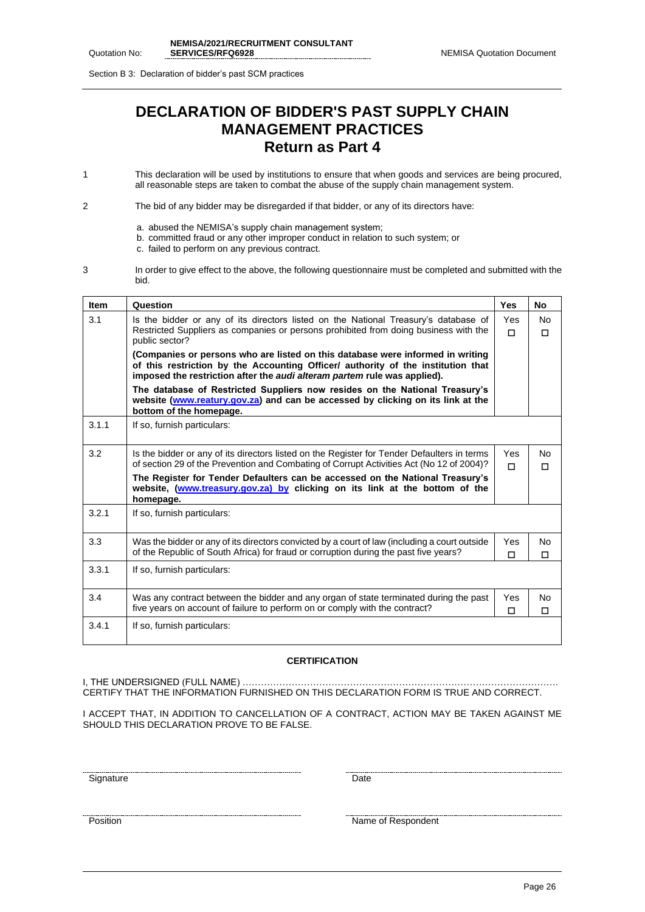Section B 3: Declaration of bidder's past SCM practices

## **DECLARATION OF BIDDER'S PAST SUPPLY CHAIN MANAGEMENT PRACTICES Return as Part 4**

- 1 This declaration will be used by institutions to ensure that when goods and services are being procured, all reasonable steps are taken to combat the abuse of the supply chain management system.
- 2 The bid of any bidder may be disregarded if that bidder, or any of its directors have:
	- a. abused the NEMISA's supply chain management system;
	- b. committed fraud or any other improper conduct in relation to such system; or
	- c. failed to perform on any previous contract.
- 3 In order to give effect to the above, the following questionnaire must be completed and submitted with the bid.

| <b>Item</b> | Question                                                                                                                                                                                                                                       | <b>Yes</b>    | No            |
|-------------|------------------------------------------------------------------------------------------------------------------------------------------------------------------------------------------------------------------------------------------------|---------------|---------------|
| 3.1         | Is the bidder or any of its directors listed on the National Treasury's database of<br>Restricted Suppliers as companies or persons prohibited from doing business with the                                                                    | Yes<br>$\Box$ | No.<br>$\Box$ |
|             | public sector?                                                                                                                                                                                                                                 |               |               |
|             | (Companies or persons who are listed on this database were informed in writing<br>of this restriction by the Accounting Officer/ authority of the institution that<br>imposed the restriction after the audi alteram partem rule was applied). |               |               |
|             | The database of Restricted Suppliers now resides on the National Treasury's<br>website (www.reatury.gov.za) and can be accessed by clicking on its link at the<br>bottom of the homepage.                                                      |               |               |
| 3.1.1       | If so, furnish particulars:                                                                                                                                                                                                                    |               |               |
| 3.2         | Is the bidder or any of its directors listed on the Register for Tender Defaulters in terms<br>of section 29 of the Prevention and Combating of Corrupt Activities Act (No 12 of 2004)?                                                        | Yes<br>п      | No<br>$\Box$  |
|             | The Register for Tender Defaulters can be accessed on the National Treasury's<br>website, (www.treasury.gov.za) by clicking on its link at the bottom of the<br>homepage.                                                                      |               |               |
| 3.2.1       | If so, furnish particulars:                                                                                                                                                                                                                    |               |               |
| 3.3         | Was the bidder or any of its directors convicted by a court of law (including a court outside                                                                                                                                                  | Yes           | No            |
|             | of the Republic of South Africa) for fraud or corruption during the past five years?                                                                                                                                                           | п             | п             |
| 3.3.1       | If so, furnish particulars:                                                                                                                                                                                                                    |               |               |
| 3.4         | Was any contract between the bidder and any organ of state terminated during the past                                                                                                                                                          | Yes           | No            |
|             | five years on account of failure to perform on or comply with the contract?                                                                                                                                                                    | п             | $\Box$        |
| 3.4.1       | If so, furnish particulars:                                                                                                                                                                                                                    |               |               |

### **CERTIFICATION**

I, THE UNDERSIGNED (FULL NAME) …………………………………………………………………………………………. CERTIFY THAT THE INFORMATION FURNISHED ON THIS DECLARATION FORM IS TRUE AND CORRECT.

I ACCEPT THAT, IN ADDITION TO CANCELLATION OF A CONTRACT, ACTION MAY BE TAKEN AGAINST ME SHOULD THIS DECLARATION PROVE TO BE FALSE.

<u>Signature</u> Date **Date** 

Position Name of Respondent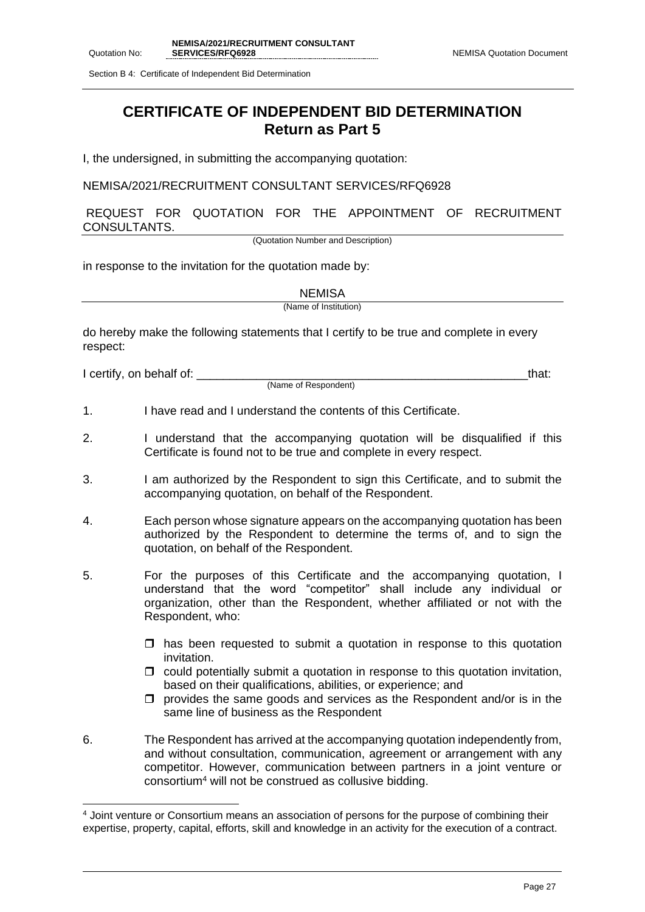Section B 4: Certificate of Independent Bid Determination

## **CERTIFICATE OF INDEPENDENT BID DETERMINATION Return as Part 5**

I, the undersigned, in submitting the accompanying quotation:

NEMISA/2021/RECRUITMENT CONSULTANT SERVICES/RFQ6928

REQUEST FOR QUOTATION FOR THE APPOINTMENT OF RECRUITMENT CONSULTANTS.

(Quotation Number and Description)

in response to the invitation for the quotation made by:

|  | JEMIS∕ |  |
|--|--------|--|
|  |        |  |

(Name of Institution)

do hereby make the following statements that I certify to be true and complete in every respect:

I certify, on behalf of: the state of the state of the state of the state of the state of the state of the stat

(Name of Respondent)

- 1. I have read and I understand the contents of this Certificate.
- 2. I understand that the accompanying quotation will be disqualified if this Certificate is found not to be true and complete in every respect.
- 3. I am authorized by the Respondent to sign this Certificate, and to submit the accompanying quotation, on behalf of the Respondent.
- 4. Each person whose signature appears on the accompanying quotation has been authorized by the Respondent to determine the terms of, and to sign the quotation, on behalf of the Respondent.
- 5. For the purposes of this Certificate and the accompanying quotation, I understand that the word "competitor" shall include any individual or organization, other than the Respondent, whether affiliated or not with the Respondent, who:
	- $\Box$  has been requested to submit a quotation in response to this quotation invitation.
	- $\Box$  could potentially submit a quotation in response to this quotation invitation, based on their qualifications, abilities, or experience; and
	- $\Box$  provides the same goods and services as the Respondent and/or is in the same line of business as the Respondent
- 6. The Respondent has arrived at the accompanying quotation independently from, and without consultation, communication, agreement or arrangement with any competitor. However, communication between partners in a joint venture or consortium<sup>4</sup> will not be construed as collusive bidding.

<sup>4</sup> Joint venture or Consortium means an association of persons for the purpose of combining their expertise, property, capital, efforts, skill and knowledge in an activity for the execution of a contract.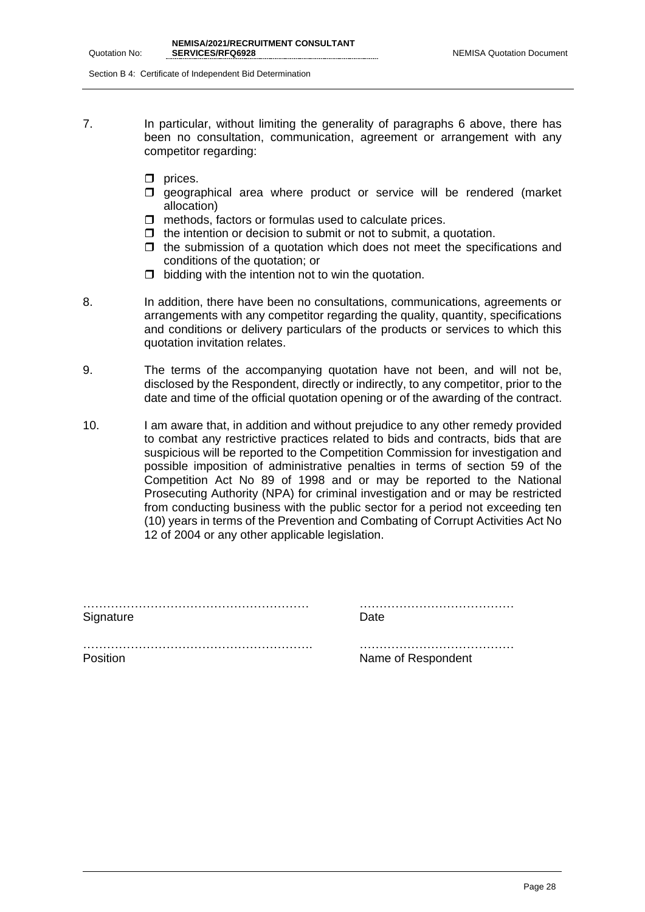Section B 4: Certificate of Independent Bid Determination

- 7. In particular, without limiting the generality of paragraphs 6 above, there has been no consultation, communication, agreement or arrangement with any competitor regarding:
	- $\Box$  prices.
	- **I** geographical area where product or service will be rendered (market allocation)
	- $\Box$  methods, factors or formulas used to calculate prices.
	- $\Box$  the intention or decision to submit or not to submit, a quotation.
	- $\Box$  the submission of a quotation which does not meet the specifications and conditions of the quotation; or
	- $\Box$  bidding with the intention not to win the quotation.
- 8. In addition, there have been no consultations, communications, agreements or arrangements with any competitor regarding the quality, quantity, specifications and conditions or delivery particulars of the products or services to which this quotation invitation relates.
- 9. The terms of the accompanying quotation have not been, and will not be, disclosed by the Respondent, directly or indirectly, to any competitor, prior to the date and time of the official quotation opening or of the awarding of the contract.
- 10. I am aware that, in addition and without prejudice to any other remedy provided to combat any restrictive practices related to bids and contracts, bids that are suspicious will be reported to the Competition Commission for investigation and possible imposition of administrative penalties in terms of section 59 of the Competition Act No 89 of 1998 and or may be reported to the National Prosecuting Authority (NPA) for criminal investigation and or may be restricted from conducting business with the public sector for a period not exceeding ten (10) years in terms of the Prevention and Combating of Corrupt Activities Act No 12 of 2004 or any other applicable legislation.

………………………………………………… ………………………………… Signature Date **Date** 

…………………………………………………. ………………………………… Position **Name of Respondent**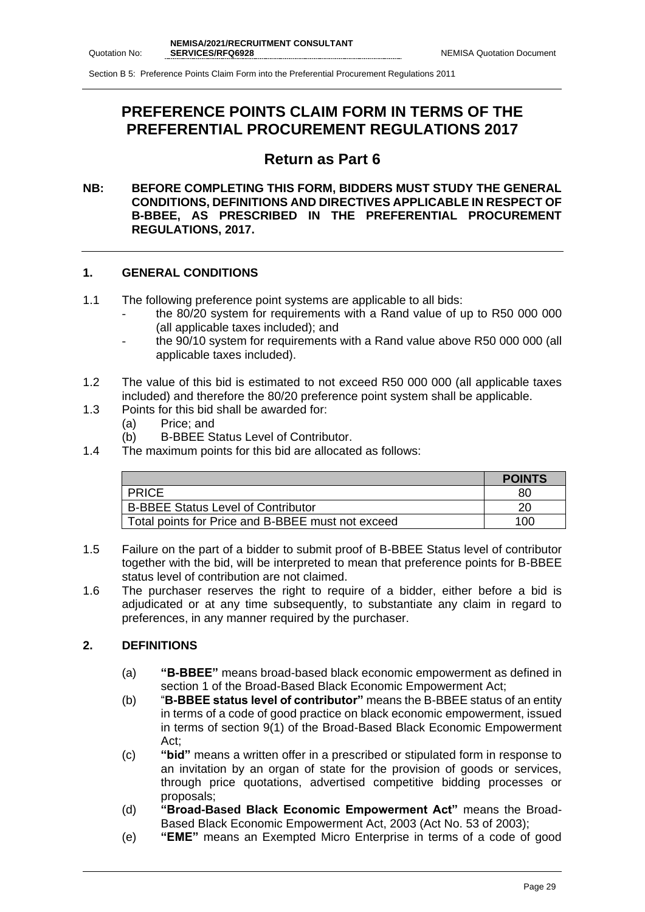## **PREFERENCE POINTS CLAIM FORM IN TERMS OF THE PREFERENTIAL PROCUREMENT REGULATIONS 2017**

## **Return as Part 6**

### **NB: BEFORE COMPLETING THIS FORM, BIDDERS MUST STUDY THE GENERAL CONDITIONS, DEFINITIONS AND DIRECTIVES APPLICABLE IN RESPECT OF B-BBEE, AS PRESCRIBED IN THE PREFERENTIAL PROCUREMENT REGULATIONS, 2017.**

### **1. GENERAL CONDITIONS**

- 1.1 The following preference point systems are applicable to all bids:
	- the 80/20 system for requirements with a Rand value of up to R50 000 000 (all applicable taxes included); and
	- the 90/10 system for requirements with a Rand value above R50 000 000 (all applicable taxes included).
- 1.2 The value of this bid is estimated to not exceed R50 000 000 (all applicable taxes included) and therefore the 80/20 preference point system shall be applicable.
- 1.3 Points for this bid shall be awarded for:
	- (a) Price; and
	- (b) B-BBEE Status Level of Contributor.
- 1.4 The maximum points for this bid are allocated as follows:

|                                                   | <b>POINTS</b> |
|---------------------------------------------------|---------------|
| <b>PRICE</b>                                      | 80            |
| <b>B-BBEE Status Level of Contributor</b>         | 20            |
| Total points for Price and B-BBEE must not exceed | 100           |

- 1.5 Failure on the part of a bidder to submit proof of B-BBEE Status level of contributor together with the bid, will be interpreted to mean that preference points for B-BBEE status level of contribution are not claimed.
- 1.6 The purchaser reserves the right to require of a bidder, either before a bid is adjudicated or at any time subsequently, to substantiate any claim in regard to preferences, in any manner required by the purchaser.

### **2. DEFINITIONS**

- (a) **"B-BBEE"** means broad-based black economic empowerment as defined in section 1 of the Broad-Based Black Economic Empowerment Act;
- (b) "**B-BBEE status level of contributor"** means the B-BBEE status of an entity in terms of a code of good practice on black economic empowerment, issued in terms of section 9(1) of the Broad-Based Black Economic Empowerment Act;
- (c) **"bid"** means a written offer in a prescribed or stipulated form in response to an invitation by an organ of state for the provision of goods or services, through price quotations, advertised competitive bidding processes or proposals;
- (d) **"Broad-Based Black Economic Empowerment Act"** means the Broad-Based Black Economic Empowerment Act, 2003 (Act No. 53 of 2003);
- (e) **"EME"** means an Exempted Micro Enterprise in terms of a code of good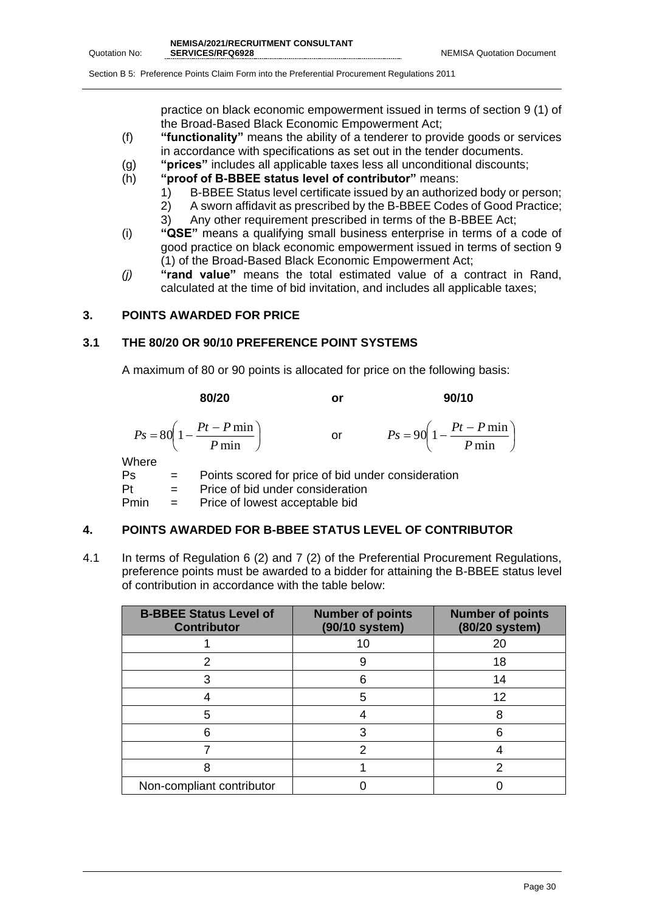$\overline{\phantom{a}}$  $\bigg)$ 

Section B 5: Preference Points Claim Form into the Preferential Procurement Regulations 2011

practice on black economic empowerment issued in terms of section 9 (1) of the Broad-Based Black Economic Empowerment Act;

- (f) **"functionality"** means the ability of a tenderer to provide goods or services in accordance with specifications as set out in the tender documents.
- (g) **"prices"** includes all applicable taxes less all unconditional discounts;
- (h) **"proof of B-BBEE status level of contributor"** means:
	- 1) B-BBEE Status level certificate issued by an authorized body or person;
	- 2) A sworn affidavit as prescribed by the B-BBEE Codes of Good Practice;
	- 3) Any other requirement prescribed in terms of the B-BBEE Act;
- (i) **"QSE"** means a qualifying small business enterprise in terms of a code of good practice on black economic empowerment issued in terms of section 9 (1) of the Broad-Based Black Economic Empowerment Act;
- *(j)* **"rand value"** means the total estimated value of a contract in Rand, calculated at the time of bid invitation, and includes all applicable taxes;

### **3. POINTS AWARDED FOR PRICE**

### **3.1 THE 80/20 OR 90/10 PREFERENCE POINT SYSTEMS**

A maximum of 80 or 90 points is allocated for price on the following basis:

**80/20 or 90/10** I J  $\left(1-\frac{Pt-P\min}{\sigma}\right)$ l  $=80\left(1-\frac{Pt-P}{P}\right)$  $80 \left(1 - \frac{Pt - P \min}{\sigma} \right)$ *P*  $P_s = 80 \left( 1 - \frac{Pt - P}{F} \right)$ or  $\left(1-\frac{Pt-P\min}{\sigma}\right)$ l  $= 90\left(1 - \frac{Pt - P \ln P}{P \ln P}\right)$  $90 \left( 1 - \frac{Pt - P \min}{2} \right)$ *P*  $P_s = 90 \left( 1 - \frac{Pt - P}{F} \right)$ Where

Ps = Points scored for price of bid under consideration Pt = Price of bid under consideration

Pmin = Price of lowest acceptable bid

### **4. POINTS AWARDED FOR B-BBEE STATUS LEVEL OF CONTRIBUTOR**

4.1 In terms of Regulation 6 (2) and 7 (2) of the Preferential Procurement Regulations, preference points must be awarded to a bidder for attaining the B-BBEE status level of contribution in accordance with the table below:

| <b>B-BBEE Status Level of</b><br><b>Contributor</b> | <b>Number of points</b><br>(90/10 system) | <b>Number of points</b><br>(80/20 system) |
|-----------------------------------------------------|-------------------------------------------|-------------------------------------------|
|                                                     | 10                                        | 20                                        |
| 2                                                   | 9                                         | 18                                        |
|                                                     | 6                                         | 14                                        |
|                                                     | 5                                         | 12                                        |
| 5                                                   |                                           |                                           |
|                                                     |                                           | ิค                                        |
|                                                     |                                           |                                           |
|                                                     |                                           |                                           |
| Non-compliant contributor                           |                                           |                                           |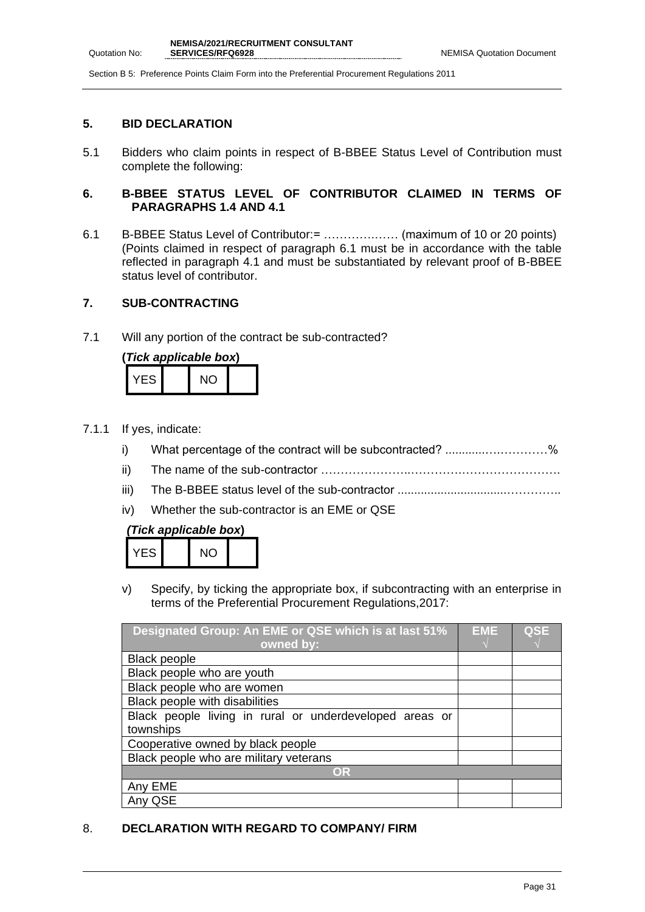### **5. BID DECLARATION**

5.1 Bidders who claim points in respect of B-BBEE Status Level of Contribution must complete the following:

### **6. B-BBEE STATUS LEVEL OF CONTRIBUTOR CLAIMED IN TERMS OF PARAGRAPHS 1.4 AND 4.1**

6.1 B-BBEE Status Level of Contributor:= ………….…… (maximum of 10 or 20 points) (Points claimed in respect of paragraph 6.1 must be in accordance with the table reflected in paragraph 4.1 and must be substantiated by relevant proof of B-BBEE status level of contributor.

### **7. SUB-CONTRACTING**

7.1 Will any portion of the contract be sub-contracted?

| (Tick applicable box) |  |    |  |  |  |
|-----------------------|--|----|--|--|--|
| YES I                 |  | NO |  |  |  |

- 7.1.1 If yes, indicate:
	- i) What percentage of the contract will be subcontracted? ............….…………%
	- ii) The name of the sub-contractor …………………..………….…………………….
	- iii) The B-BBEE status level of the sub-contractor .................................…………..
	- iv) Whether the sub-contractor is an EME or QSE

## *(Tick applicable box***)**

| -5 | AIL + |  |
|----|-------|--|
|    |       |  |

v) Specify, by ticking the appropriate box, if subcontracting with an enterprise in terms of the Preferential Procurement Regulations,2017:

| Designated Group: An EME or QSE which is at last 51%    | EME | <b>QSE</b> |
|---------------------------------------------------------|-----|------------|
| owned by:                                               |     |            |
| <b>Black people</b>                                     |     |            |
| Black people who are youth                              |     |            |
| Black people who are women                              |     |            |
| Black people with disabilities                          |     |            |
| Black people living in rural or underdeveloped areas or |     |            |
| townships                                               |     |            |
| Cooperative owned by black people                       |     |            |
| Black people who are military veterans                  |     |            |
| OR                                                      |     |            |
| Any EME                                                 |     |            |
| Any QSE                                                 |     |            |

### 8. **DECLARATION WITH REGARD TO COMPANY/ FIRM**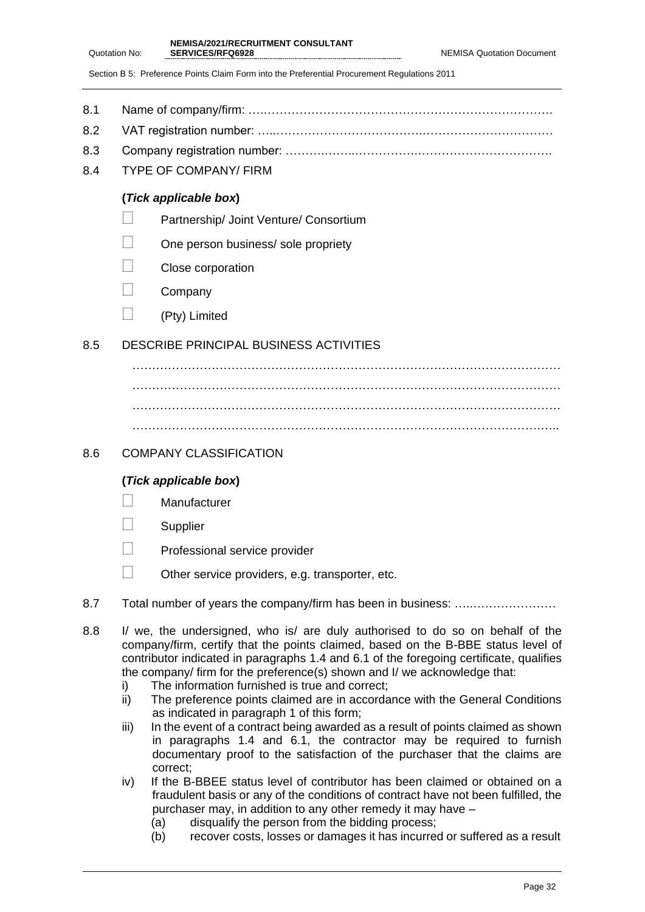- 8.1 Name of company/firm: ….……………………………………………………………….
- 8.2 VAT registration number: …..……………………………….……………………………
- 8.3 Company registration number: ……….……..…………….…………………………….
- 8.4 TYPE OF COMPANY/ FIRM

### **(***Tick applicable box***)**

- **Partnership/ Joint Venture/ Consortium**
- $\Box$  One person business/ sole propriety
- Close corporation
- $\Box$  Company
- $\Box$  (Pty) Limited

### 8.5 DESCRIBE PRINCIPAL BUSINESS ACTIVITIES

……………………………………………………………………………………………… ……………………………………………………………………………………………… ……………………………………………………………………………………………… ………………………………………………………………………………………….…..

### 8.6 COMPANY CLASSIFICATION

### **(***Tick applicable box***)**

- **Manufacturer**
- **Supplier**
- **Professional service provider**
- $\Box$  Other service providers, e.g. transporter, etc.
- 8.7 Total number of years the company/firm has been in business: …………………………
- 8.8 I/ we, the undersigned, who is/ are duly authorised to do so on behalf of the company/firm, certify that the points claimed, based on the B-BBE status level of contributor indicated in paragraphs 1.4 and 6.1 of the foregoing certificate, qualifies the company/ firm for the preference(s) shown and I/ we acknowledge that:
	- i) The information furnished is true and correct;
	- ii) The preference points claimed are in accordance with the General Conditions as indicated in paragraph 1 of this form;
	- iii) In the event of a contract being awarded as a result of points claimed as shown in paragraphs 1.4 and 6.1, the contractor may be required to furnish documentary proof to the satisfaction of the purchaser that the claims are correct;
	- iv) If the B-BBEE status level of contributor has been claimed or obtained on a fraudulent basis or any of the conditions of contract have not been fulfilled, the purchaser may, in addition to any other remedy it may have –
		- (a) disqualify the person from the bidding process;
		- (b) recover costs, losses or damages it has incurred or suffered as a result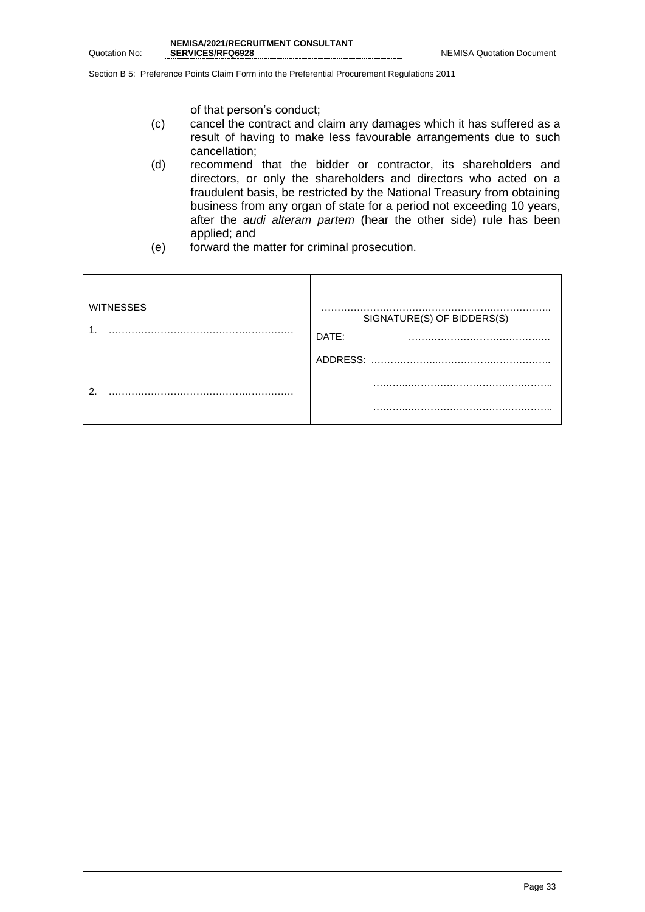of that person's conduct;

- (c) cancel the contract and claim any damages which it has suffered as a result of having to make less favourable arrangements due to such cancellation;
- (d) recommend that the bidder or contractor, its shareholders and directors, or only the shareholders and directors who acted on a fraudulent basis, be restricted by the National Treasury from obtaining business from any organ of state for a period not exceeding 10 years, after the *audi alteram partem* (hear the other side) rule has been applied; and
- (e) forward the matter for criminal prosecution.

| <b>WITNESSES</b> | SIGNATURE(S) OF BIDDERS(S)<br>DATE: |
|------------------|-------------------------------------|
|                  | ADDRESS:                            |
| ົ                |                                     |
|                  | .                                   |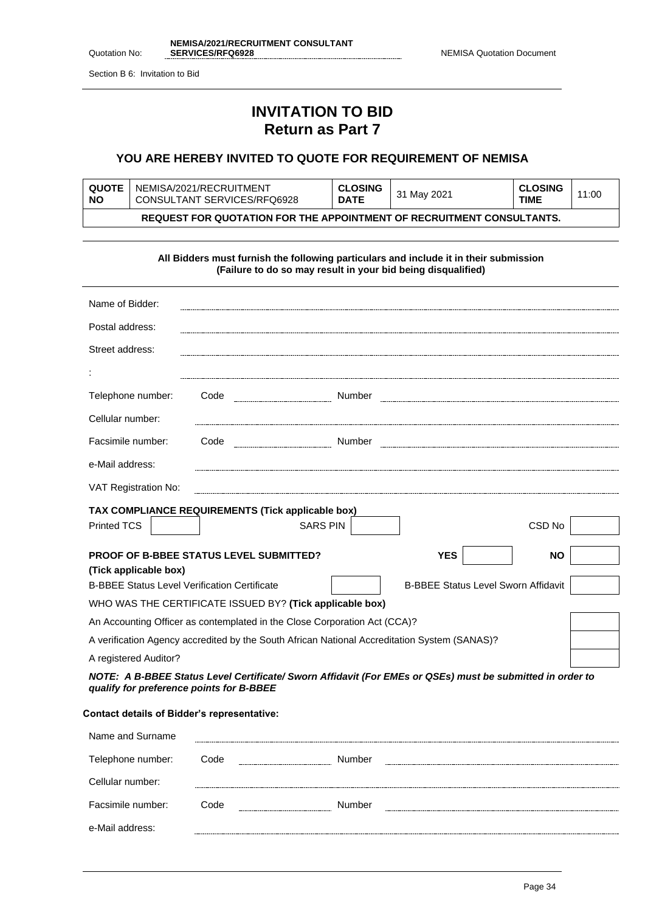|               | NEMISA/2021/RECRUITMENT CONSULTANT |
|---------------|------------------------------------|
| Quotation No: | <b>SERVICES/RFQ6928</b>            |

Section B 6: Invitation to Bid

## **INVITATION TO BID Return as Part 7**

### **YOU ARE HEREBY INVITED TO QUOTE FOR REQUIREMENT OF NEMISA**

| <b>QUOTE</b><br><b>NO</b>                                             | NEMISA/2021/RECRUITMENT<br>CONSULTANT SERVICES/RFQ6928 | <b>CLOSING</b><br><b>DATE</b> | 31 May 2021 | <b>CLOSING</b><br><b>TIME</b> | 11:00 |
|-----------------------------------------------------------------------|--------------------------------------------------------|-------------------------------|-------------|-------------------------------|-------|
| REQUEST FOR QUOTATION FOR THE APPOINTMENT OF RECRUITMENT CONSULTANTS. |                                                        |                               |             |                               |       |

|                                                                                              | All Bidders must furnish the following particulars and include it in their submission<br>(Failure to do so may result in your bid being disqualified) |  |                                            |           |
|----------------------------------------------------------------------------------------------|-------------------------------------------------------------------------------------------------------------------------------------------------------|--|--------------------------------------------|-----------|
| Name of Bidder:                                                                              |                                                                                                                                                       |  |                                            |           |
| Postal address:                                                                              |                                                                                                                                                       |  |                                            |           |
| Street address:                                                                              |                                                                                                                                                       |  |                                            |           |
|                                                                                              |                                                                                                                                                       |  |                                            |           |
| Telephone number:                                                                            | Code                                                                                                                                                  |  |                                            |           |
| Cellular number:                                                                             |                                                                                                                                                       |  |                                            |           |
| Facsimile number:                                                                            | Code                                                                                                                                                  |  |                                            |           |
| e-Mail address:                                                                              |                                                                                                                                                       |  |                                            |           |
| VAT Registration No:                                                                         |                                                                                                                                                       |  |                                            |           |
|                                                                                              | TAX COMPLIANCE REQUIREMENTS (Tick applicable box)                                                                                                     |  |                                            |           |
| <b>Printed TCS</b>                                                                           | <b>SARS PIN</b>                                                                                                                                       |  |                                            | CSD No    |
|                                                                                              | <b>PROOF OF B-BBEE STATUS LEVEL SUBMITTED?</b>                                                                                                        |  | <b>YES</b>                                 | <b>NO</b> |
| (Tick applicable box)<br><b>B-BBEE Status Level Verification Certificate</b>                 |                                                                                                                                                       |  | <b>B-BBEE Status Level Sworn Affidavit</b> |           |
|                                                                                              | WHO WAS THE CERTIFICATE ISSUED BY? (Tick applicable box)                                                                                              |  |                                            |           |
| An Accounting Officer as contemplated in the Close Corporation Act (CCA)?                    |                                                                                                                                                       |  |                                            |           |
| A verification Agency accredited by the South African National Accreditation System (SANAS)? |                                                                                                                                                       |  |                                            |           |
| A registered Auditor?                                                                        |                                                                                                                                                       |  |                                            |           |
| qualify for preference points for B-BBEE                                                     | NOTE: A B-BBEE Status Level Certificate/ Sworn Affidavit (For EMEs or QSEs) must be submitted in order to                                             |  |                                            |           |

### **Contact details of Bidder's representative:**

| Name and Surname  |      |                               |           |
|-------------------|------|-------------------------------|-----------|
| Telephone number: | Code | Number<br>------------------- |           |
| Cellular number:  |      |                               |           |
| Facsimile number: | Code | Number                        | --------- |
| e-Mail address:   |      |                               |           |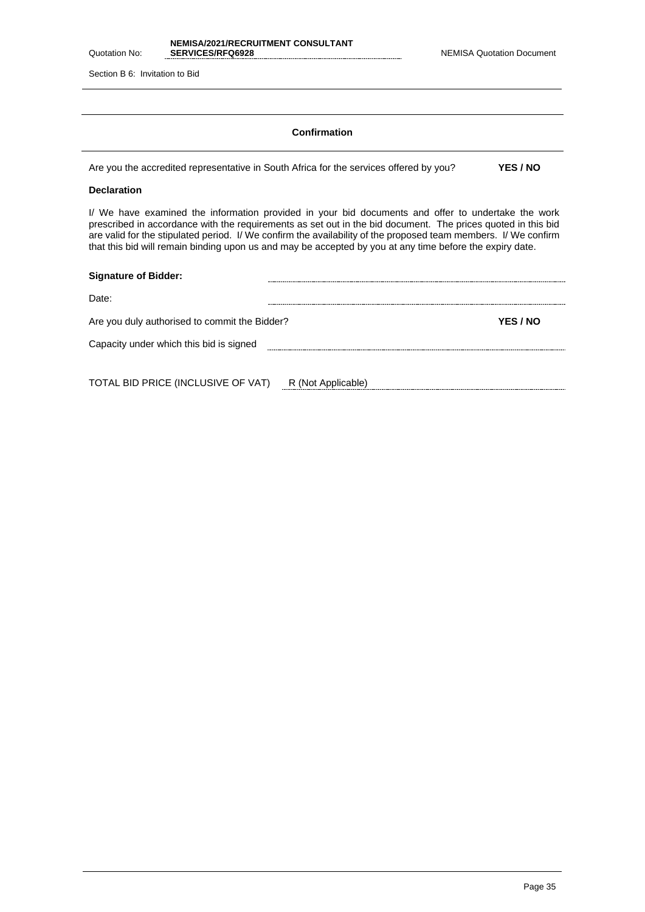|               | NEMISA/2021/RECRUITMENT CONSULTANT |
|---------------|------------------------------------|
| Quotation No: | <b>SERVICES/RFQ6928</b>            |

Section B 6: Invitation to Bid

### **Confirmation**

Are you the accredited representative in South Africa for the services offered by you? **YES / NO**

#### **Declaration**

I/ We have examined the information provided in your bid documents and offer to undertake the work prescribed in accordance with the requirements as set out in the bid document. The prices quoted in this bid are valid for the stipulated period. I/ We confirm the availability of the proposed team members. I/ We confirm that this bid will remain binding upon us and may be accepted by you at any time before the expiry date.

| <b>Signature of Bidder:</b>                   |          |
|-----------------------------------------------|----------|
| Date:                                         |          |
| Are you duly authorised to commit the Bidder? | YES / NO |
| Capacity under which this bid is signed       |          |
|                                               |          |
|                                               |          |

TOTAL BID PRICE (INCLUSIVE OF VAT) R (Not Applicable)<br>
R (Not Applicable)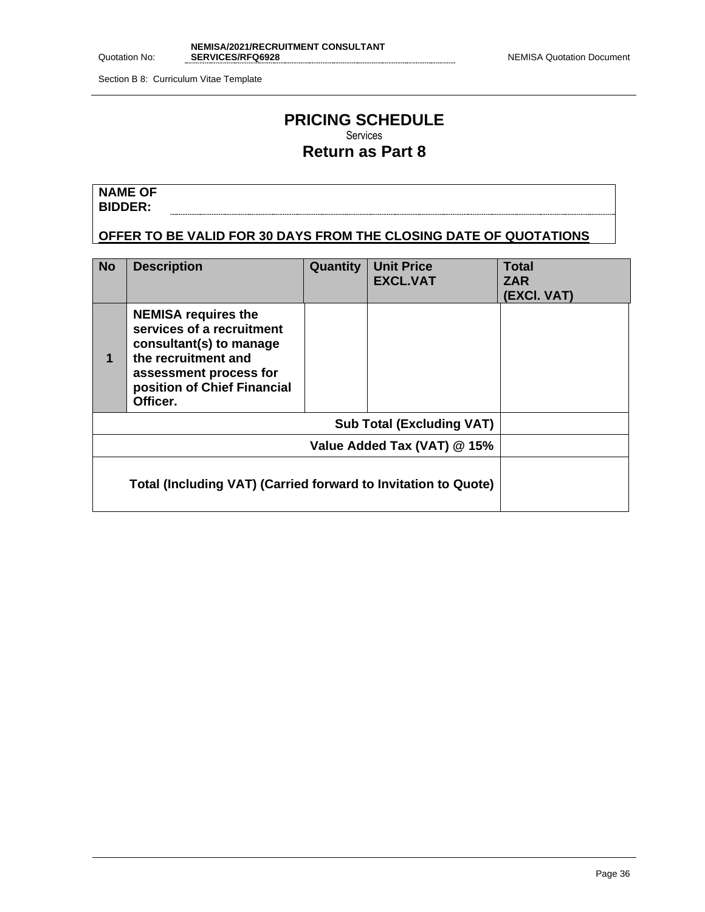Section B 8: Curriculum Vitae Template

## **PRICING SCHEDULE** Services

## **Return as Part 8**

**NAME OF BIDDER:**

**OFFER TO BE VALID FOR 30 DAYS FROM THE CLOSING DATE OF QUOTATIONS**

| <b>No</b>                        | <b>Description</b>                                                                                                                                                             | <b>Quantity</b> | <b>Unit Price</b><br><b>EXCL.VAT</b> | <b>Total</b><br><b>ZAR</b><br>(EXCI. VAT) |
|----------------------------------|--------------------------------------------------------------------------------------------------------------------------------------------------------------------------------|-----------------|--------------------------------------|-------------------------------------------|
| 1                                | <b>NEMISA requires the</b><br>services of a recruitment<br>consultant(s) to manage<br>the recruitment and<br>assessment process for<br>position of Chief Financial<br>Officer. |                 |                                      |                                           |
| <b>Sub Total (Excluding VAT)</b> |                                                                                                                                                                                |                 |                                      |                                           |
|                                  | Value Added Tax (VAT) @ 15%                                                                                                                                                    |                 |                                      |                                           |
|                                  | Total (Including VAT) (Carried forward to Invitation to Quote)                                                                                                                 |                 |                                      |                                           |